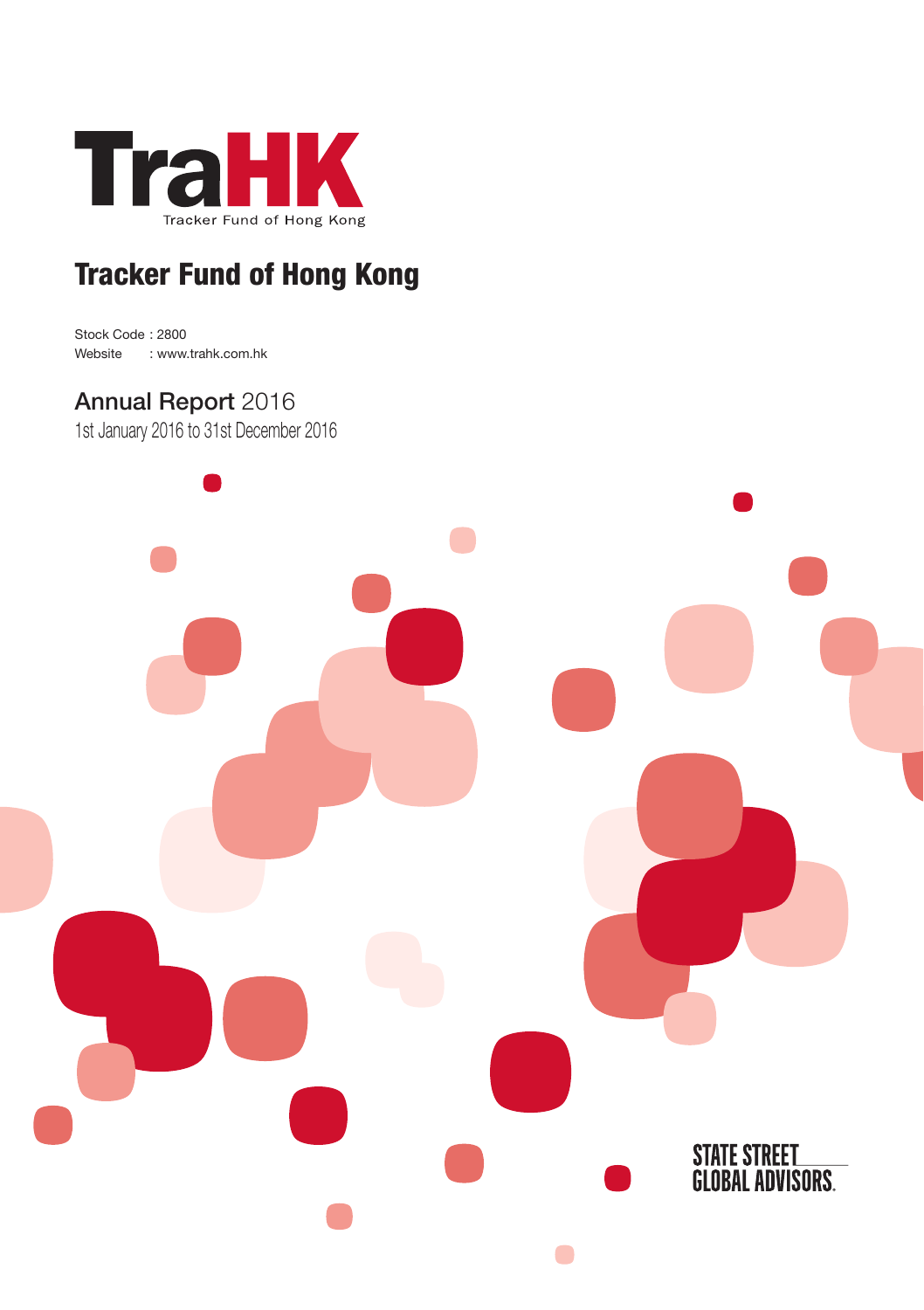

Stock Code : 2800 Website : www.trahk.com.hk

# Annual Report 2016

1st January 2016 to 31st December 2016

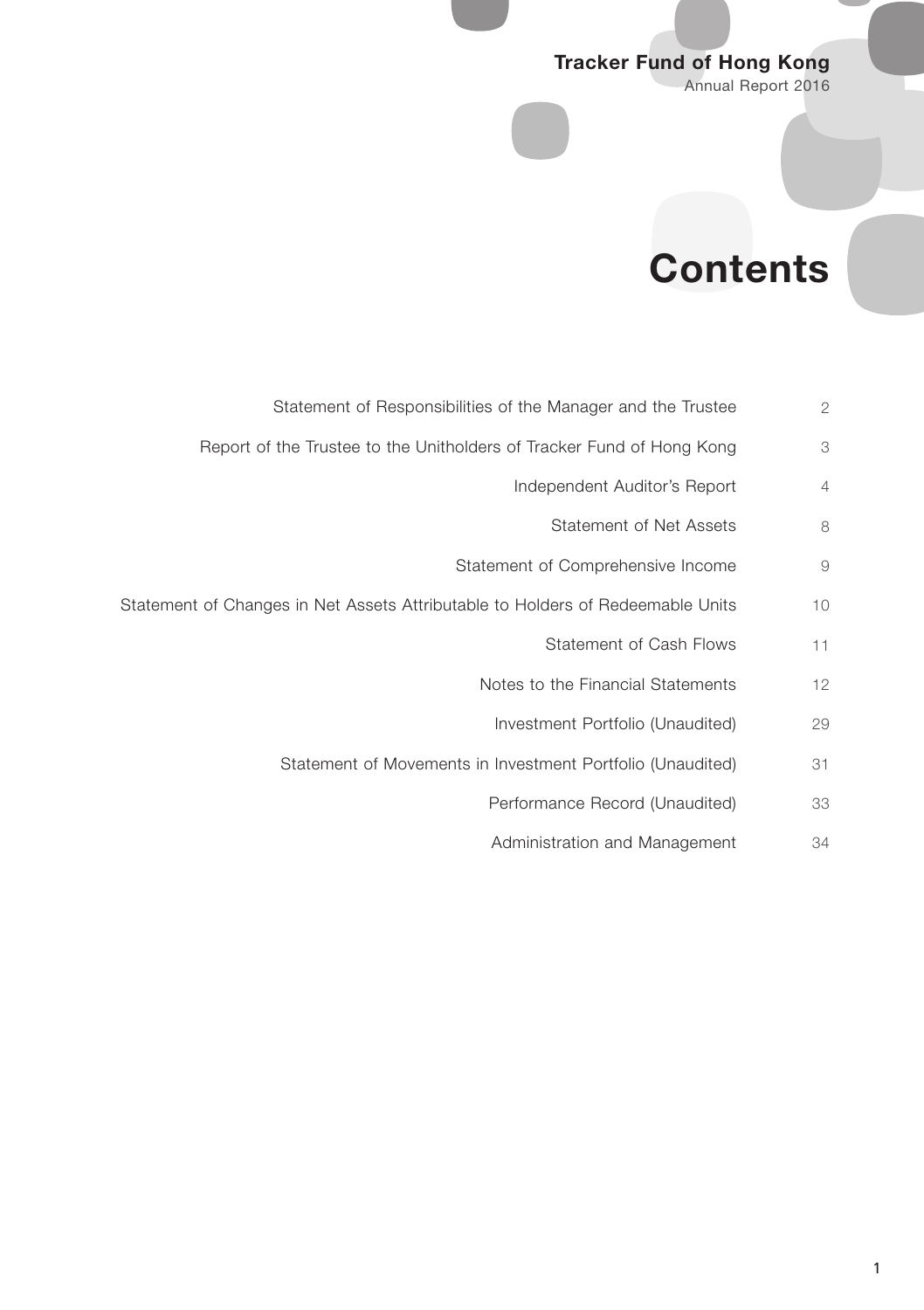Annual Report 2016

# **Contents**

- Statement of Responsibilities of the Manager and the Trustee 2
- Report of the Trustee to the Unitholders of Tracker Fund of Hong Kong 3
	- Independent Auditor's Report 4
		- Statement of Net Assets 8
	- Statement of Comprehensive Income 9
- Statement of Changes in Net Assets Attributable to Holders of Redeemable Units 10
	- Statement of Cash Flows 11
	- Notes to the Financial Statements 12
		- Investment Portfolio (Unaudited) 29
	- Statement of Movements in Investment Portfolio (Unaudited) 31
		- Performance Record (Unaudited) 33
		- Administration and Management 34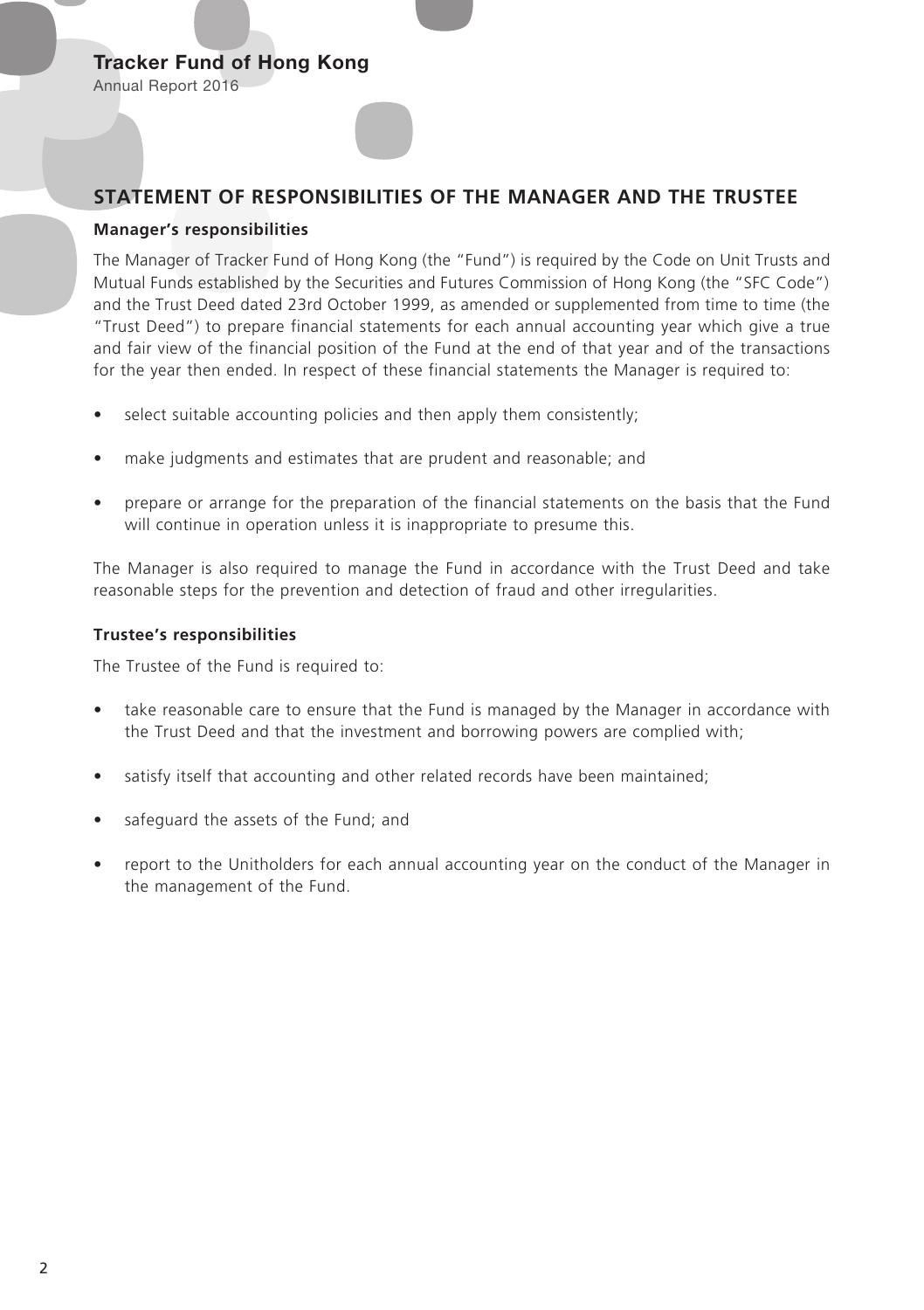Annual Report 2016

### **STATEMENT OF RESPONSIBILITIES OF THE MANAGER AND THE TRUSTEE**

#### **Manager's responsibilities**

The Manager of Tracker Fund of Hong Kong (the "Fund") is required by the Code on Unit Trusts and Mutual Funds established by the Securities and Futures Commission of Hong Kong (the "SFC Code") and the Trust Deed dated 23rd October 1999, as amended or supplemented from time to time (the "Trust Deed") to prepare financial statements for each annual accounting year which give a true and fair view of the financial position of the Fund at the end of that year and of the transactions for the year then ended. In respect of these financial statements the Manager is required to:

- select suitable accounting policies and then apply them consistently;
- make judgments and estimates that are prudent and reasonable; and
- prepare or arrange for the preparation of the financial statements on the basis that the Fund will continue in operation unless it is inappropriate to presume this.

The Manager is also required to manage the Fund in accordance with the Trust Deed and take reasonable steps for the prevention and detection of fraud and other irregularities.

#### **Trustee's responsibilities**

The Trustee of the Fund is required to:

- take reasonable care to ensure that the Fund is managed by the Manager in accordance with the Trust Deed and that the investment and borrowing powers are complied with;
- satisfy itself that accounting and other related records have been maintained;
- safeguard the assets of the Fund; and
- report to the Unitholders for each annual accounting year on the conduct of the Manager in the management of the Fund.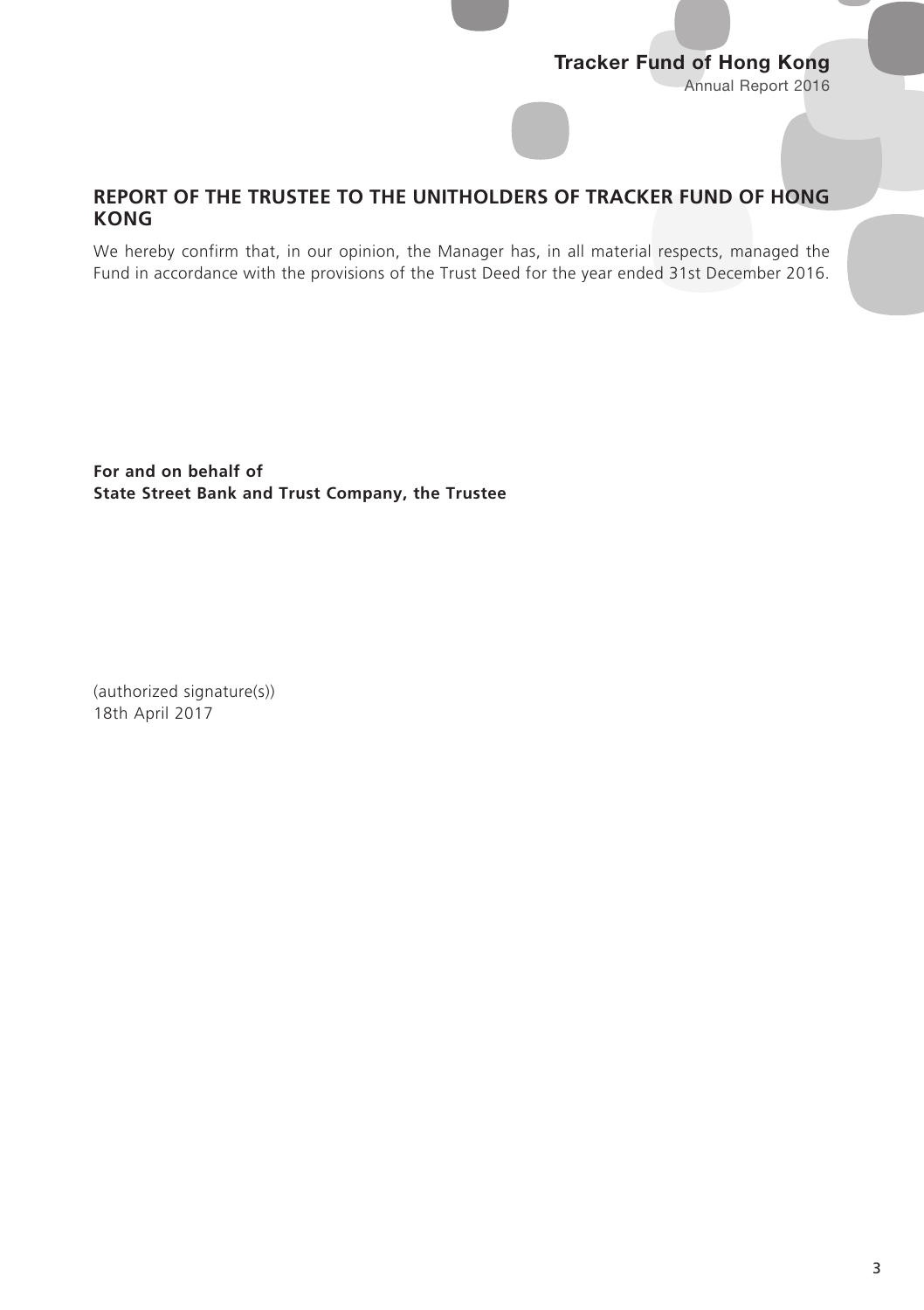Annual Report 2016

### **REPORT OF THE TRUSTEE TO THE UNITHOLDERS OF TRACKER FUND OF HONG KONG**

We hereby confirm that, in our opinion, the Manager has, in all material respects, managed the Fund in accordance with the provisions of the Trust Deed for the year ended 31st December 2016.

**For and on behalf of State Street Bank and Trust Company, the Trustee**

(authorized signature(s)) 18th April 2017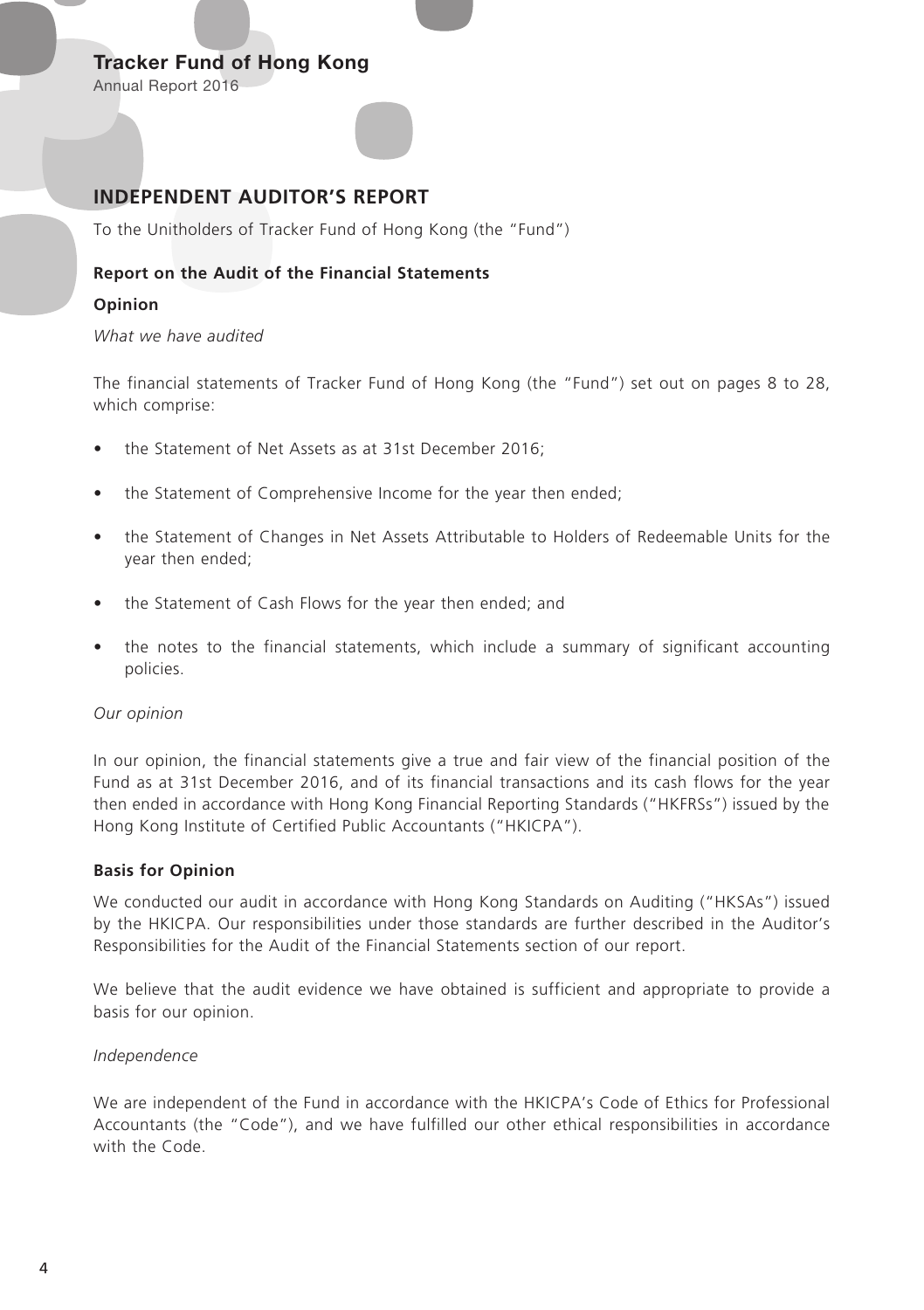Annual Report 2016

### **INDEPENDENT AUDITOR'S REPORT**

To the Unitholders of Tracker Fund of Hong Kong (the "Fund")

### **Report on the Audit of the Financial Statements**

### **Opinion**

*What we have audited*

The financial statements of Tracker Fund of Hong Kong (the "Fund") set out on pages 8 to 28, which comprise:

- the Statement of Net Assets as at 31st December 2016;
- the Statement of Comprehensive Income for the year then ended:
- the Statement of Changes in Net Assets Attributable to Holders of Redeemable Units for the year then ended;
- the Statement of Cash Flows for the year then ended; and
- the notes to the financial statements, which include a summary of significant accounting policies.

#### *Our opinion*

In our opinion, the financial statements give a true and fair view of the financial position of the Fund as at 31st December 2016, and of its financial transactions and its cash flows for the year then ended in accordance with Hong Kong Financial Reporting Standards ("HKFRSs") issued by the Hong Kong Institute of Certified Public Accountants ("HKICPA").

### **Basis for Opinion**

We conducted our audit in accordance with Hong Kong Standards on Auditing ("HKSAs") issued by the HKICPA. Our responsibilities under those standards are further described in the Auditor's Responsibilities for the Audit of the Financial Statements section of our report.

We believe that the audit evidence we have obtained is sufficient and appropriate to provide a basis for our opinion.

#### *Independence*

We are independent of the Fund in accordance with the HKICPA's Code of Ethics for Professional Accountants (the "Code"), and we have fulfilled our other ethical responsibilities in accordance with the Code.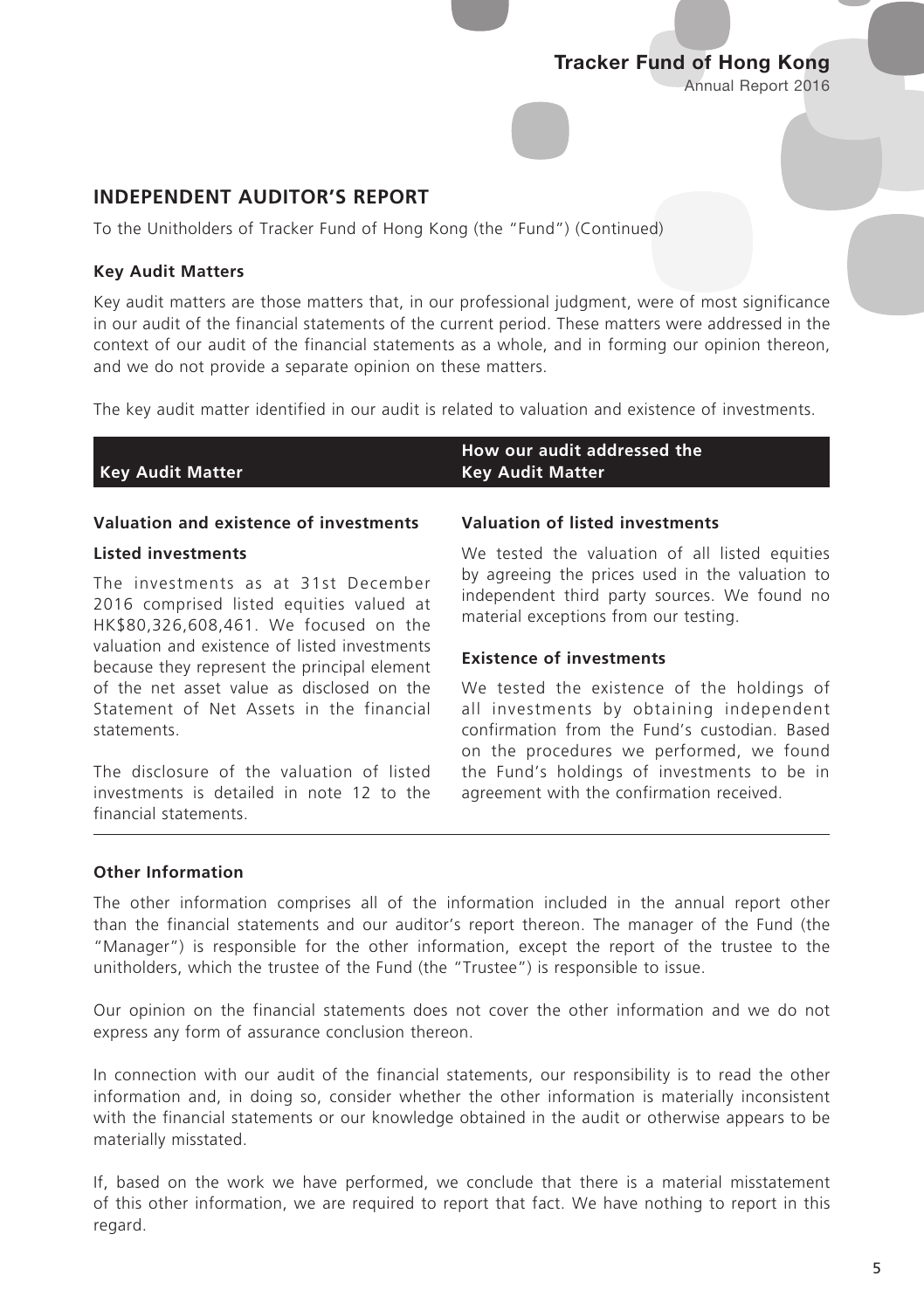Annual Report 2016

### **INDEPENDENT AUDITOR'S REPORT**

To the Unitholders of Tracker Fund of Hong Kong (the "Fund") (Continued)

#### **Key Audit Matters**

Key audit matters are those matters that, in our professional judgment, were of most significance in our audit of the financial statements of the current period. These matters were addressed in the context of our audit of the financial statements as a whole, and in forming our opinion thereon, and we do not provide a separate opinion on these matters.

The key audit matter identified in our audit is related to valuation and existence of investments.

| <b>Key Audit Matter</b>                                                                                                  | How our audit addressed the<br><b>Key Audit Matter</b>                                                                                   |
|--------------------------------------------------------------------------------------------------------------------------|------------------------------------------------------------------------------------------------------------------------------------------|
| Valuation and existence of investments                                                                                   | Valuation of listed investments                                                                                                          |
| <b>Listed investments</b>                                                                                                | We tested the valuation of all listed equities                                                                                           |
| The investments as at 31st December<br>2016 comprised listed equities valued at<br>HK\$80,326,608,461. We focused on the | by agreeing the prices used in the valuation to<br>independent third party sources. We found no<br>material exceptions from our testing. |
| valuation and existence of listed investments<br>because they represent the principal element                            | <b>Existence of investments</b>                                                                                                          |
| of the net asset value as disclosed on the<br>Statement of Net Assets in the financial<br>statements.                    | We tested the existence of the holdings of<br>all investments by obtaining independent<br>confirmation from the Fund's custodian. Based  |

The disclosure of the valuation of listed investments is detailed in note 12 to the financial statements.

on the procedures we performed, we found the Fund's holdings of investments to be in agreement with the confirmation received.

#### **Other Information**

The other information comprises all of the information included in the annual report other than the financial statements and our auditor's report thereon. The manager of the Fund (the "Manager") is responsible for the other information, except the report of the trustee to the unitholders, which the trustee of the Fund (the "Trustee") is responsible to issue.

Our opinion on the financial statements does not cover the other information and we do not express any form of assurance conclusion thereon.

In connection with our audit of the financial statements, our responsibility is to read the other information and, in doing so, consider whether the other information is materially inconsistent with the financial statements or our knowledge obtained in the audit or otherwise appears to be materially misstated.

If, based on the work we have performed, we conclude that there is a material misstatement of this other information, we are required to report that fact. We have nothing to report in this regard.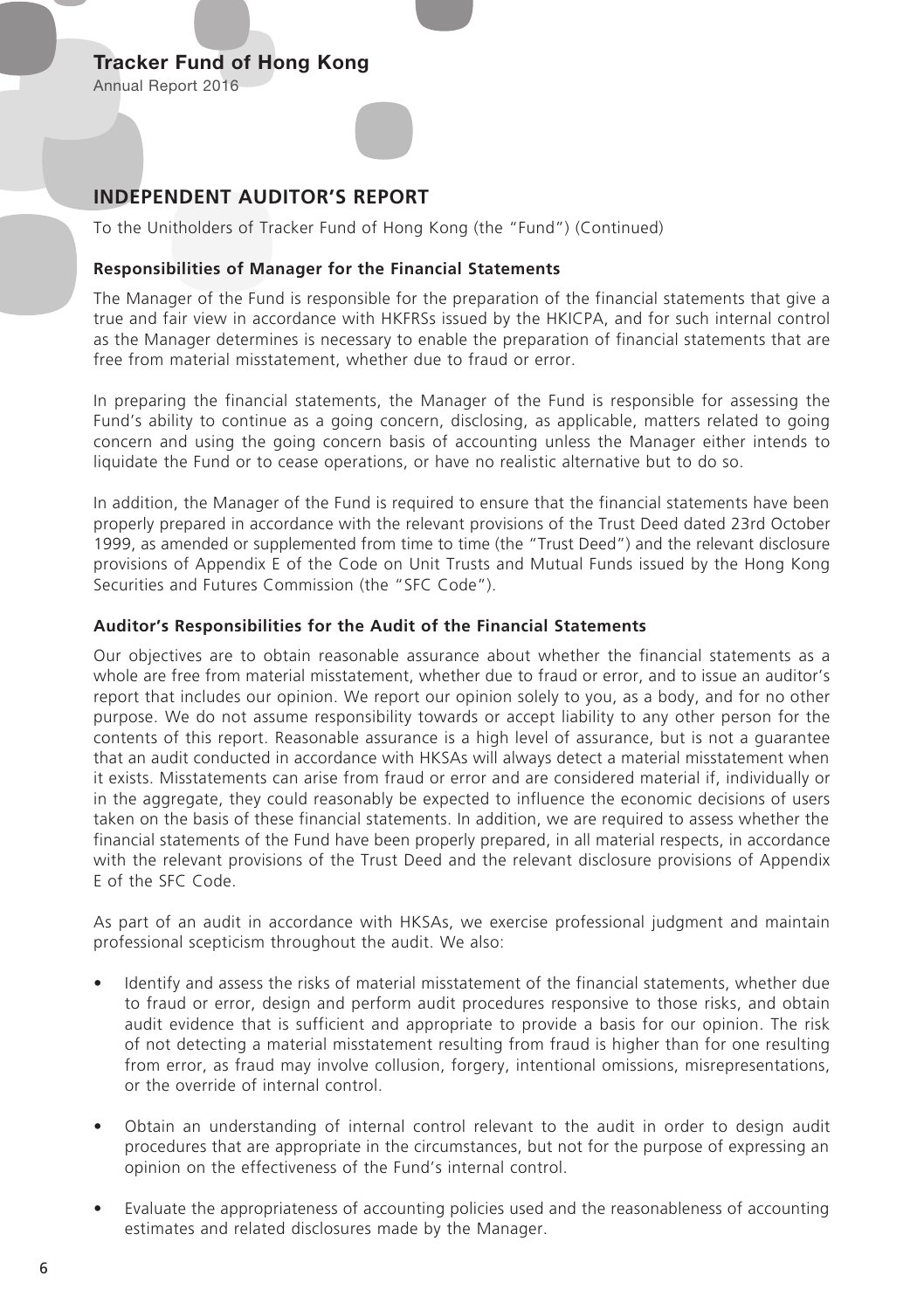Annual Report 2016

### **INDEPENDENT AUDITOR'S REPORT**

To the Unitholders of Tracker Fund of Hong Kong (the "Fund") (Continued)

### **Responsibilities of Manager for the Financial Statements**

The Manager of the Fund is responsible for the preparation of the financial statements that give a true and fair view in accordance with HKFRSs issued by the HKICPA, and for such internal control as the Manager determines is necessary to enable the preparation of financial statements that are free from material misstatement, whether due to fraud or error.

In preparing the financial statements, the Manager of the Fund is responsible for assessing the Fund's ability to continue as a going concern, disclosing, as applicable, matters related to going concern and using the going concern basis of accounting unless the Manager either intends to liquidate the Fund or to cease operations, or have no realistic alternative but to do so.

In addition, the Manager of the Fund is required to ensure that the financial statements have been properly prepared in accordance with the relevant provisions of the Trust Deed dated 23rd October 1999, as amended or supplemented from time to time (the "Trust Deed") and the relevant disclosure provisions of Appendix E of the Code on Unit Trusts and Mutual Funds issued by the Hong Kong Securities and Futures Commission (the "SFC Code").

### **Auditor's Responsibilities for the Audit of the Financial Statements**

Our objectives are to obtain reasonable assurance about whether the financial statements as a whole are free from material misstatement, whether due to fraud or error, and to issue an auditor's report that includes our opinion. We report our opinion solely to you, as a body, and for no other purpose. We do not assume responsibility towards or accept liability to any other person for the contents of this report. Reasonable assurance is a high level of assurance, but is not a guarantee that an audit conducted in accordance with HKSAs will always detect a material misstatement when it exists. Misstatements can arise from fraud or error and are considered material if, individually or in the aggregate, they could reasonably be expected to influence the economic decisions of users taken on the basis of these financial statements. In addition, we are required to assess whether the financial statements of the Fund have been properly prepared, in all material respects, in accordance with the relevant provisions of the Trust Deed and the relevant disclosure provisions of Appendix E of the SFC Code.

As part of an audit in accordance with HKSAs, we exercise professional judgment and maintain professional scepticism throughout the audit. We also:

- Identify and assess the risks of material misstatement of the financial statements, whether due to fraud or error, design and perform audit procedures responsive to those risks, and obtain audit evidence that is sufficient and appropriate to provide a basis for our opinion. The risk of not detecting a material misstatement resulting from fraud is higher than for one resulting from error, as fraud may involve collusion, forgery, intentional omissions, misrepresentations, or the override of internal control.
- Obtain an understanding of internal control relevant to the audit in order to design audit procedures that are appropriate in the circumstances, but not for the purpose of expressing an opinion on the effectiveness of the Fund's internal control.
- Evaluate the appropriateness of accounting policies used and the reasonableness of accounting estimates and related disclosures made by the Manager.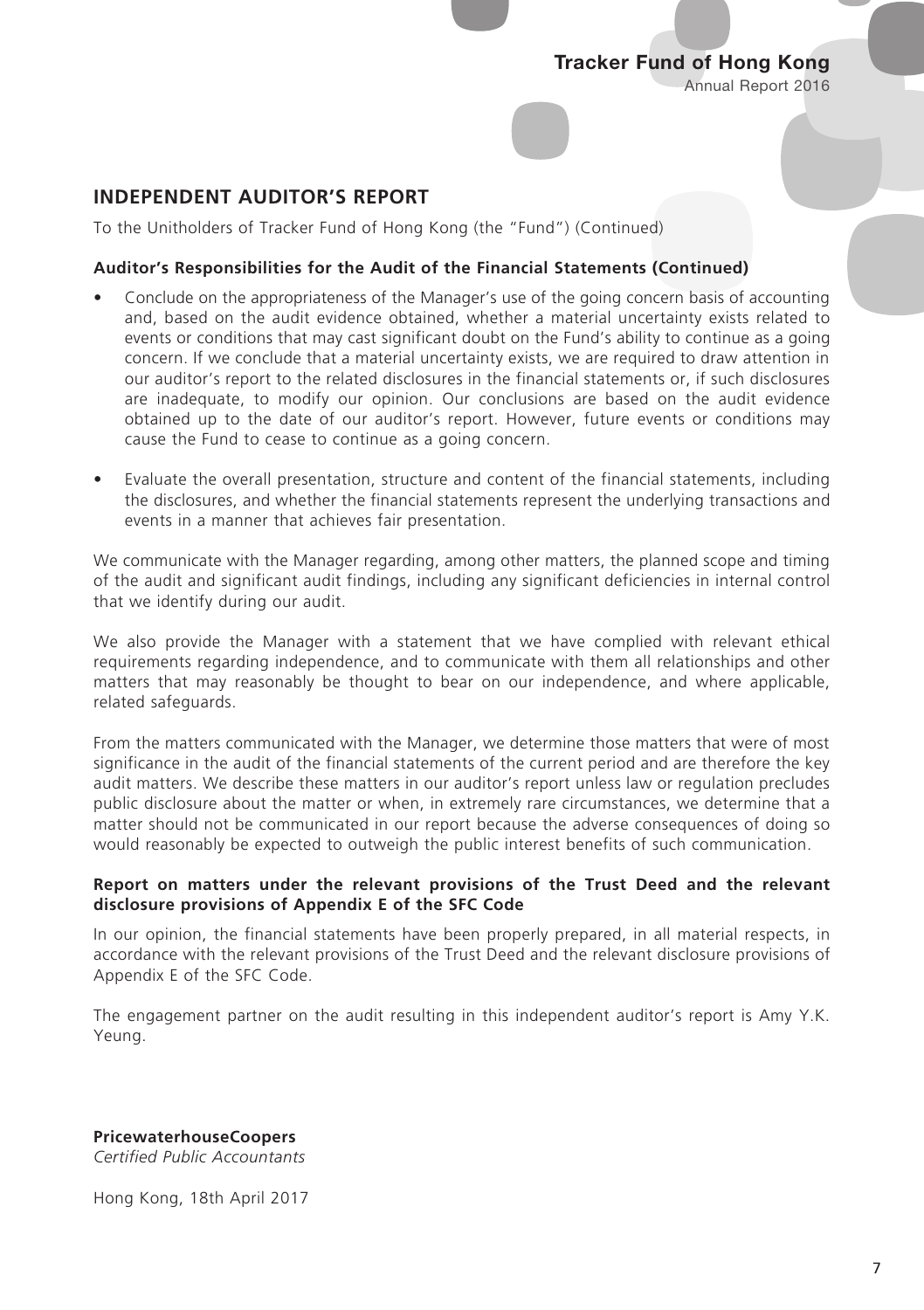Annual Report 2016

### **INDEPENDENT AUDITOR'S REPORT**

To the Unitholders of Tracker Fund of Hong Kong (the "Fund") (Continued)

#### **Auditor's Responsibilities for the Audit of the Financial Statements (Continued)**

- Conclude on the appropriateness of the Manager's use of the going concern basis of accounting and, based on the audit evidence obtained, whether a material uncertainty exists related to events or conditions that may cast significant doubt on the Fund's ability to continue as a going concern. If we conclude that a material uncertainty exists, we are required to draw attention in our auditor's report to the related disclosures in the financial statements or, if such disclosures are inadequate, to modify our opinion. Our conclusions are based on the audit evidence obtained up to the date of our auditor's report. However, future events or conditions may cause the Fund to cease to continue as a going concern.
- Evaluate the overall presentation, structure and content of the financial statements, including the disclosures, and whether the financial statements represent the underlying transactions and events in a manner that achieves fair presentation.

We communicate with the Manager regarding, among other matters, the planned scope and timing of the audit and significant audit findings, including any significant deficiencies in internal control that we identify during our audit.

We also provide the Manager with a statement that we have complied with relevant ethical requirements regarding independence, and to communicate with them all relationships and other matters that may reasonably be thought to bear on our independence, and where applicable, related safeguards.

From the matters communicated with the Manager, we determine those matters that were of most significance in the audit of the financial statements of the current period and are therefore the key audit matters. We describe these matters in our auditor's report unless law or regulation precludes public disclosure about the matter or when, in extremely rare circumstances, we determine that a matter should not be communicated in our report because the adverse consequences of doing so would reasonably be expected to outweigh the public interest benefits of such communication.

#### **Report on matters under the relevant provisions of the Trust Deed and the relevant disclosure provisions of Appendix E of the SFC Code**

In our opinion, the financial statements have been properly prepared, in all material respects, in accordance with the relevant provisions of the Trust Deed and the relevant disclosure provisions of Appendix E of the SFC Code.

The engagement partner on the audit resulting in this independent auditor's report is Amy Y.K. Yeung.

#### **PricewaterhouseCoopers** *Certified Public Accountants*

Hong Kong, 18th April 2017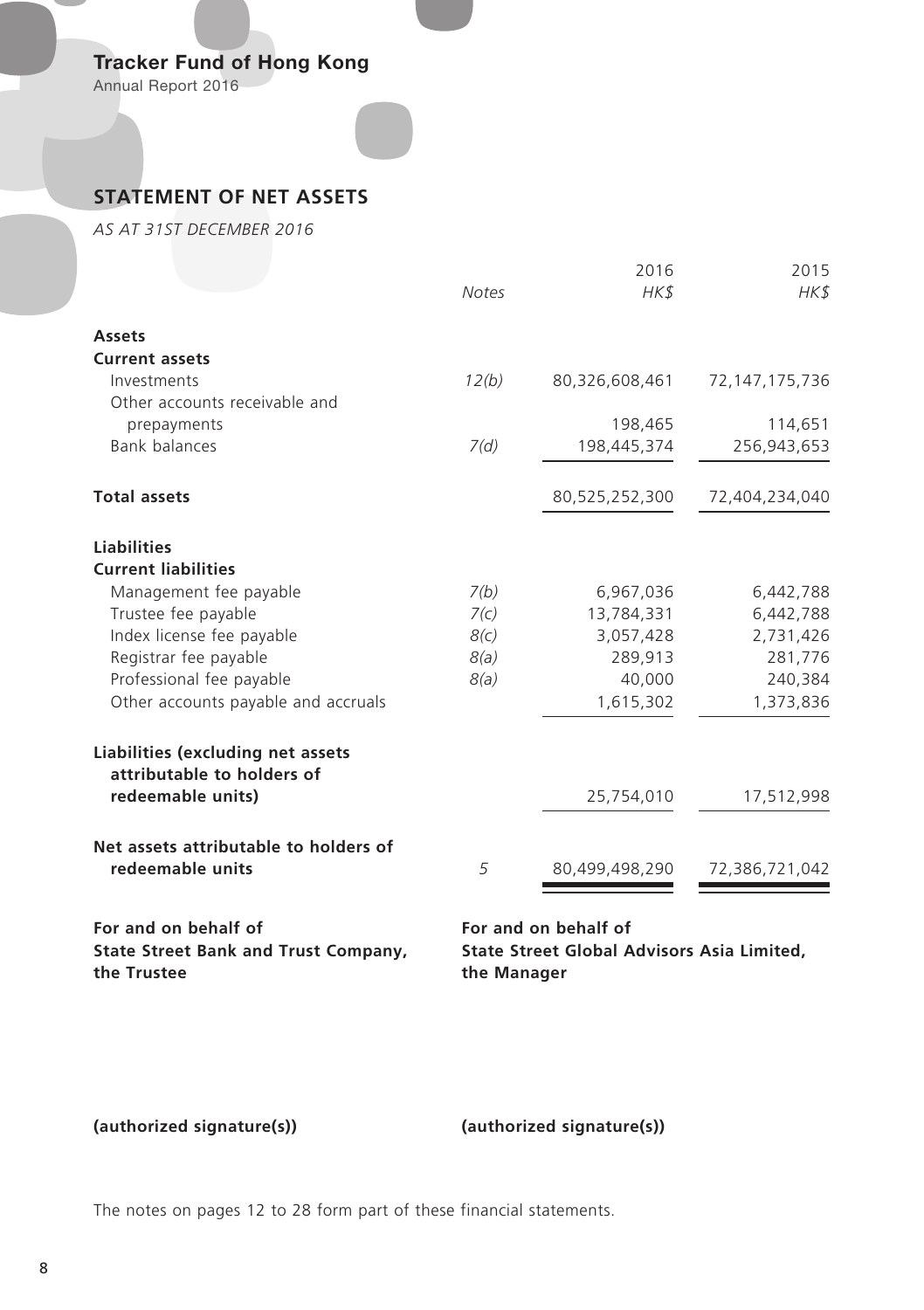Annual Report 2016

# **STATEMENT OF NET ASSETS**

*AS AT 31ST DECEMBER 2016*

|                                                                 | <b>Notes</b> | 2016<br>HK\$         | 2015<br>HK\$   |
|-----------------------------------------------------------------|--------------|----------------------|----------------|
| <b>Assets</b>                                                   |              |                      |                |
| <b>Current assets</b>                                           |              |                      |                |
| Investments                                                     | 12(b)        | 80,326,608,461       | 72,147,175,736 |
| Other accounts receivable and                                   |              |                      |                |
| prepayments                                                     |              | 198,465              | 114,651        |
| <b>Bank balances</b>                                            | 7(d)         | 198,445,374          | 256,943,653    |
| <b>Total assets</b>                                             |              | 80,525,252,300       | 72,404,234,040 |
| <b>Liabilities</b>                                              |              |                      |                |
| <b>Current liabilities</b>                                      |              |                      |                |
| Management fee payable                                          | 7(b)         | 6,967,036            | 6,442,788      |
| Trustee fee payable                                             | 7(c)         | 13,784,331           | 6,442,788      |
| Index license fee payable                                       | 8(c)         | 3,057,428            | 2,731,426      |
| Registrar fee payable                                           | 8(a)         | 289,913              | 281,776        |
| Professional fee payable                                        | 8(a)         | 40,000               | 240,384        |
| Other accounts payable and accruals                             |              | 1,615,302            | 1,373,836      |
| Liabilities (excluding net assets<br>attributable to holders of |              |                      |                |
| redeemable units)                                               |              | 25,754,010           | 17,512,998     |
| Net assets attributable to holders of                           |              |                      |                |
| redeemable units                                                | 5            | 80,499,498,290       | 72,386,721,042 |
| For and on behalf of                                            |              | For and on behalf of |                |

**State Street Bank and Trust Company, the Trustee**

**State Street Global Advisors Asia Limited, the Manager**

**(authorized signature(s)) (authorized signature(s))**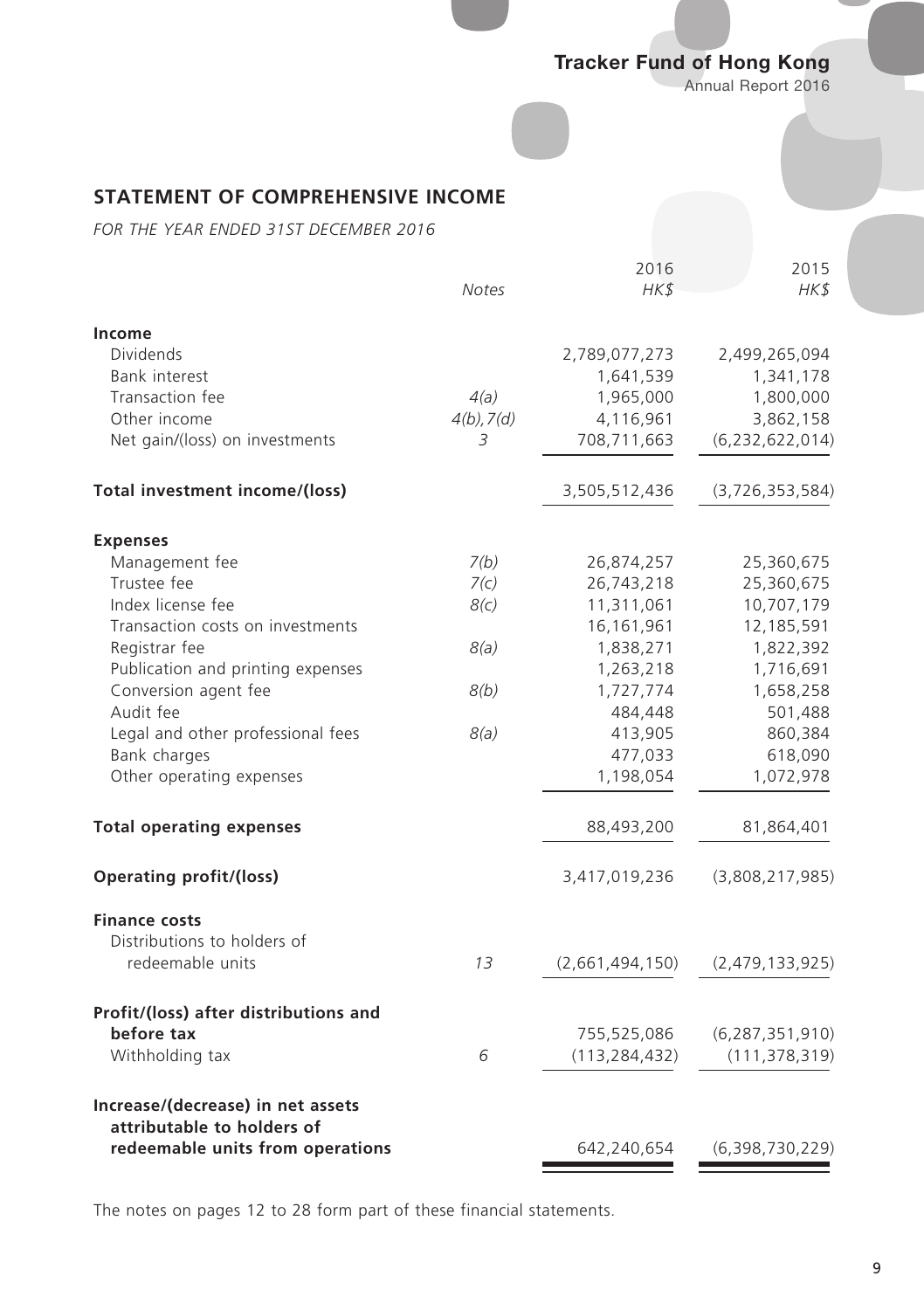Annual Report 2016

# **STATEMENT OF COMPREHENSIVE INCOME**

*FOR THE YEAR ENDED 31ST DECEMBER 2016*

|                                                                |               | 2016            | 2015               |
|----------------------------------------------------------------|---------------|-----------------|--------------------|
|                                                                | <b>Notes</b>  | HK\$            | HK\$               |
| Income                                                         |               |                 |                    |
| Dividends                                                      |               | 2,789,077,273   | 2,499,265,094      |
| Bank interest                                                  |               | 1,641,539       | 1,341,178          |
| Transaction fee                                                | 4(a)          | 1,965,000       | 1,800,000          |
| Other income                                                   | $4(b)$ , 7(d) | 4,116,961       | 3,862,158          |
| Net gain/(loss) on investments                                 | 3             | 708,711,663     | (6, 232, 622, 014) |
| Total investment income/(loss)                                 |               | 3,505,512,436   | (3,726,353,584)    |
| <b>Expenses</b>                                                |               |                 |                    |
| Management fee                                                 | 7(b)          | 26,874,257      | 25,360,675         |
| Trustee fee                                                    | 7(c)          | 26,743,218      | 25,360,675         |
| Index license fee                                              | 8(c)          | 11,311,061      | 10,707,179         |
| Transaction costs on investments                               |               | 16, 161, 961    | 12,185,591         |
| Registrar fee                                                  | 8(a)          | 1,838,271       | 1,822,392          |
| Publication and printing expenses                              |               | 1,263,218       | 1,716,691          |
| Conversion agent fee                                           | 8(b)          | 1,727,774       | 1,658,258          |
| Audit fee                                                      |               | 484,448         | 501,488            |
| Legal and other professional fees                              | 8(a)          | 413,905         | 860,384            |
| Bank charges                                                   |               | 477,033         | 618,090            |
| Other operating expenses                                       |               | 1,198,054       | 1,072,978          |
| <b>Total operating expenses</b>                                |               | 88,493,200      | 81,864,401         |
| <b>Operating profit/(loss)</b>                                 |               | 3,417,019,236   | (3,808,217,985)    |
| <b>Finance costs</b>                                           |               |                 |                    |
| Distributions to holders of                                    |               |                 |                    |
| redeemable units                                               | 13            | (2,661,494,150) | (2,479,133,925)    |
| Profit/(loss) after distributions and                          |               |                 |                    |
| before tax                                                     |               | 755,525,086     | (6, 287, 351, 910) |
| Withholding tax                                                | 6             | (113, 284, 432) | (111, 378, 319)    |
| Increase/(decrease) in net assets                              |               |                 |                    |
| attributable to holders of<br>redeemable units from operations |               | 642,240,654     | (6,398,730,229)    |
|                                                                |               |                 |                    |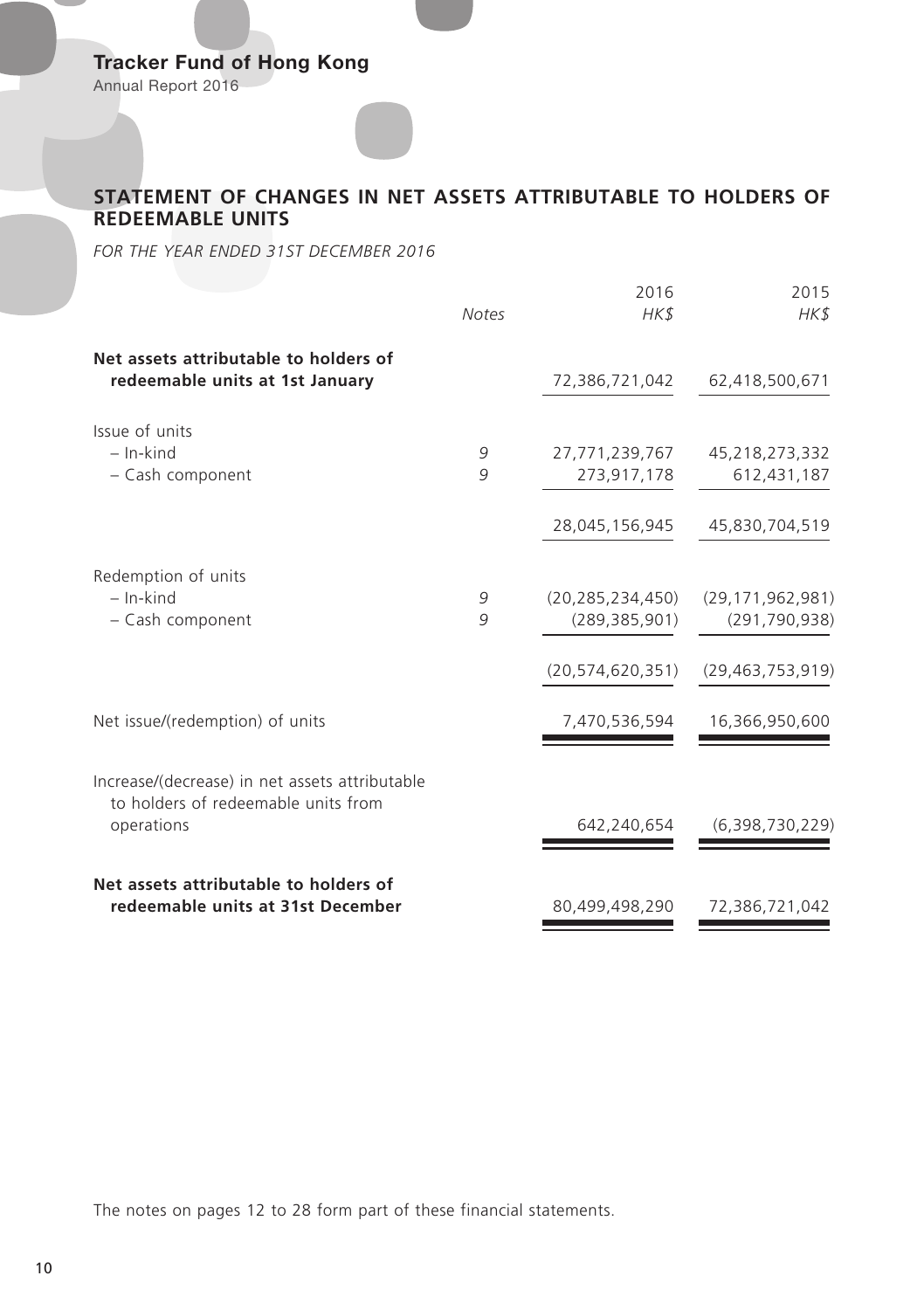Annual Report 2016

### **STATEMENT OF CHANGES IN NET ASSETS ATTRIBUTABLE TO HOLDERS OF REDEEMABLE UNITS**

*FOR THE YEAR ENDED 31ST DECEMBER 2016*

|                                                                                                     | <b>Notes</b> | 2016<br>HK\$                                                  | 2015<br>HK\$                                                  |
|-----------------------------------------------------------------------------------------------------|--------------|---------------------------------------------------------------|---------------------------------------------------------------|
| Net assets attributable to holders of<br>redeemable units at 1st January                            |              | 72,386,721,042                                                | 62,418,500,671                                                |
| Issue of units<br>$-$ In-kind<br>- Cash component                                                   | 9<br>9       | 27,771,239,767<br>273,917,178                                 | 45,218,273,332<br>612,431,187                                 |
|                                                                                                     |              | 28,045,156,945                                                | 45,830,704,519                                                |
| Redemption of units<br>$-$ In-kind<br>- Cash component                                              | 9<br>9       | (20, 285, 234, 450)<br>(289, 385, 901)<br>(20, 574, 620, 351) | (29, 171, 962, 981)<br>(291, 790, 938)<br>(29, 463, 753, 919) |
| Net issue/(redemption) of units                                                                     |              | 7,470,536,594                                                 | 16,366,950,600                                                |
| Increase/(decrease) in net assets attributable<br>to holders of redeemable units from<br>operations |              | 642,240,654                                                   | (6,398,730,229)                                               |
| Net assets attributable to holders of<br>redeemable units at 31st December                          |              | 80,499,498,290                                                | 72,386,721,042                                                |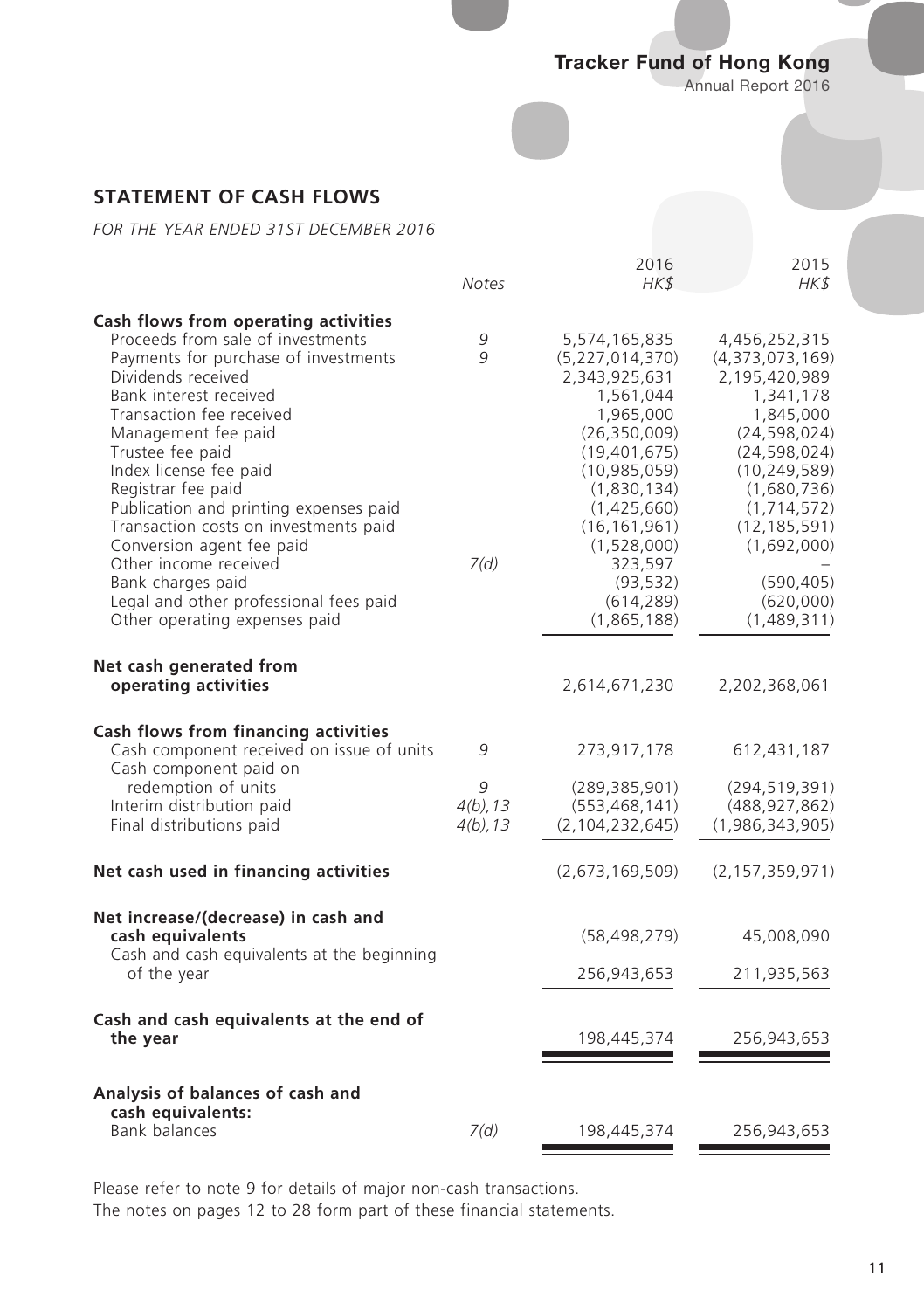Annual Report 2016

# **STATEMENT OF CASH FLOWS**

*FOR THE YEAR ENDED 31ST DECEMBER 2016*

|                                                                                                                                                                                                                                                                                                                                                                                                                                                                                           | <b>Notes</b>                    | 2016<br>HK\$                                                                                                                                                                                                                                          | 2015<br>HK\$                                                                                                                                                                                                                                 |
|-------------------------------------------------------------------------------------------------------------------------------------------------------------------------------------------------------------------------------------------------------------------------------------------------------------------------------------------------------------------------------------------------------------------------------------------------------------------------------------------|---------------------------------|-------------------------------------------------------------------------------------------------------------------------------------------------------------------------------------------------------------------------------------------------------|----------------------------------------------------------------------------------------------------------------------------------------------------------------------------------------------------------------------------------------------|
| Cash flows from operating activities                                                                                                                                                                                                                                                                                                                                                                                                                                                      |                                 |                                                                                                                                                                                                                                                       |                                                                                                                                                                                                                                              |
| Proceeds from sale of investments<br>Payments for purchase of investments<br>Dividends received<br>Bank interest received<br>Transaction fee received<br>Management fee paid<br>Trustee fee paid<br>Index license fee paid<br>Registrar fee paid<br>Publication and printing expenses paid<br>Transaction costs on investments paid<br>Conversion agent fee paid<br>Other income received<br>Bank charges paid<br>Legal and other professional fees paid<br>Other operating expenses paid | 9<br>9<br>7(d)                  | 5,574,165,835<br>(5,227,014,370)<br>2,343,925,631<br>1,561,044<br>1,965,000<br>(26, 350, 009)<br>(19, 401, 675)<br>(10, 985, 059)<br>(1,830,134)<br>(1,425,660)<br>(16, 161, 961)<br>(1,528,000)<br>323,597<br>(93, 532)<br>(614, 289)<br>(1,865,188) | 4,456,252,315<br>(4,373,073,169)<br>2,195,420,989<br>1,341,178<br>1,845,000<br>(24, 598, 024)<br>(24, 598, 024)<br>(10, 249, 589)<br>(1,680,736)<br>(1, 714, 572)<br>(12, 185, 591)<br>(1,692,000)<br>(590, 405)<br>(620,000)<br>(1,489,311) |
| Net cash generated from<br>operating activities                                                                                                                                                                                                                                                                                                                                                                                                                                           |                                 | 2,614,671,230                                                                                                                                                                                                                                         | 2,202,368,061                                                                                                                                                                                                                                |
| Cash flows from financing activities<br>Cash component received on issue of units<br>Cash component paid on                                                                                                                                                                                                                                                                                                                                                                               | 9                               | 273,917,178                                                                                                                                                                                                                                           | 612,431,187                                                                                                                                                                                                                                  |
| redemption of units<br>Interim distribution paid<br>Final distributions paid                                                                                                                                                                                                                                                                                                                                                                                                              | 9<br>$4(b)$ , 13<br>$4(b)$ , 13 | (289, 385, 901)<br>(553, 468, 141)<br>(2, 104, 232, 645)                                                                                                                                                                                              | (294, 519, 391)<br>(488, 927, 862)<br>(1,986,343,905)                                                                                                                                                                                        |
| Net cash used in financing activities                                                                                                                                                                                                                                                                                                                                                                                                                                                     |                                 | (2,673,169,509)                                                                                                                                                                                                                                       | (2, 157, 359, 971)                                                                                                                                                                                                                           |
| Net increase/(decrease) in cash and<br>cash equivalents<br>Cash and cash equivalents at the beginning                                                                                                                                                                                                                                                                                                                                                                                     |                                 | (58, 498, 279)                                                                                                                                                                                                                                        | 45,008,090                                                                                                                                                                                                                                   |
| of the year                                                                                                                                                                                                                                                                                                                                                                                                                                                                               |                                 | 256,943,653                                                                                                                                                                                                                                           | 211,935,563                                                                                                                                                                                                                                  |
| Cash and cash equivalents at the end of<br>the year                                                                                                                                                                                                                                                                                                                                                                                                                                       |                                 | 198,445,374                                                                                                                                                                                                                                           | 256,943,653                                                                                                                                                                                                                                  |
| Analysis of balances of cash and<br>cash equivalents:<br><b>Bank balances</b>                                                                                                                                                                                                                                                                                                                                                                                                             | 7(d)                            | 198,445,374                                                                                                                                                                                                                                           | 256,943,653                                                                                                                                                                                                                                  |
|                                                                                                                                                                                                                                                                                                                                                                                                                                                                                           |                                 |                                                                                                                                                                                                                                                       |                                                                                                                                                                                                                                              |

Please refer to note 9 for details of major non-cash transactions.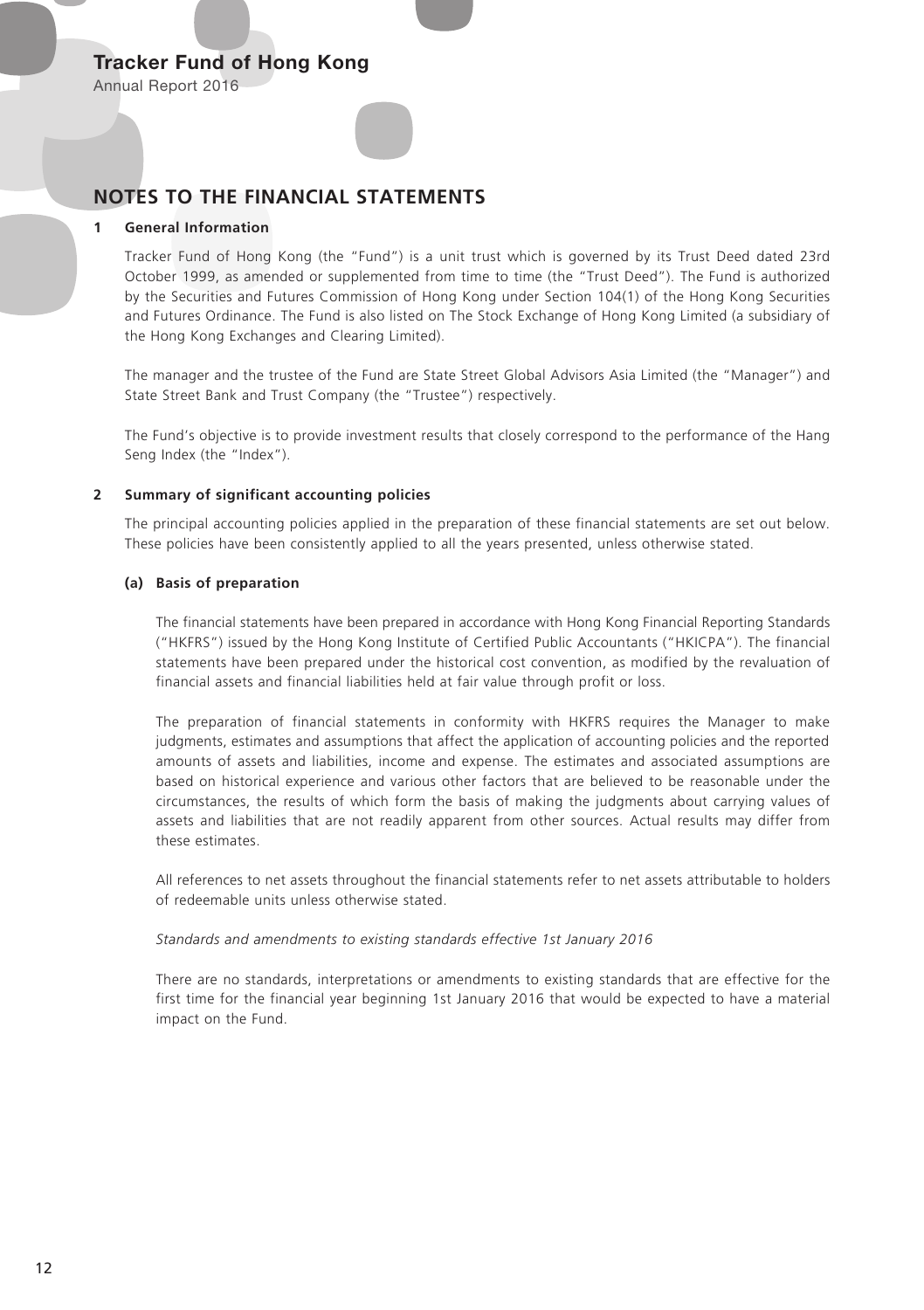Annual Report 2016

### **NOTES TO THE FINANCIAL STATEMENTS**

#### **1 General Information**

Tracker Fund of Hong Kong (the "Fund") is a unit trust which is governed by its Trust Deed dated 23rd October 1999, as amended or supplemented from time to time (the "Trust Deed"). The Fund is authorized by the Securities and Futures Commission of Hong Kong under Section 104(1) of the Hong Kong Securities and Futures Ordinance. The Fund is also listed on The Stock Exchange of Hong Kong Limited (a subsidiary of the Hong Kong Exchanges and Clearing Limited).

The manager and the trustee of the Fund are State Street Global Advisors Asia Limited (the "Manager") and State Street Bank and Trust Company (the "Trustee") respectively.

The Fund's objective is to provide investment results that closely correspond to the performance of the Hang Seng Index (the "Index").

#### **2 Summary of significant accounting policies**

The principal accounting policies applied in the preparation of these financial statements are set out below. These policies have been consistently applied to all the years presented, unless otherwise stated.

#### **(a) Basis of preparation**

The financial statements have been prepared in accordance with Hong Kong Financial Reporting Standards ("HKFRS") issued by the Hong Kong Institute of Certified Public Accountants ("HKICPA"). The financial statements have been prepared under the historical cost convention, as modified by the revaluation of financial assets and financial liabilities held at fair value through profit or loss.

The preparation of financial statements in conformity with HKFRS requires the Manager to make judgments, estimates and assumptions that affect the application of accounting policies and the reported amounts of assets and liabilities, income and expense. The estimates and associated assumptions are based on historical experience and various other factors that are believed to be reasonable under the circumstances, the results of which form the basis of making the judgments about carrying values of assets and liabilities that are not readily apparent from other sources. Actual results may differ from these estimates.

All references to net assets throughout the financial statements refer to net assets attributable to holders of redeemable units unless otherwise stated.

#### *Standards and amendments to existing standards effective 1st January 2016*

There are no standards, interpretations or amendments to existing standards that are effective for the first time for the financial year beginning 1st January 2016 that would be expected to have a material impact on the Fund.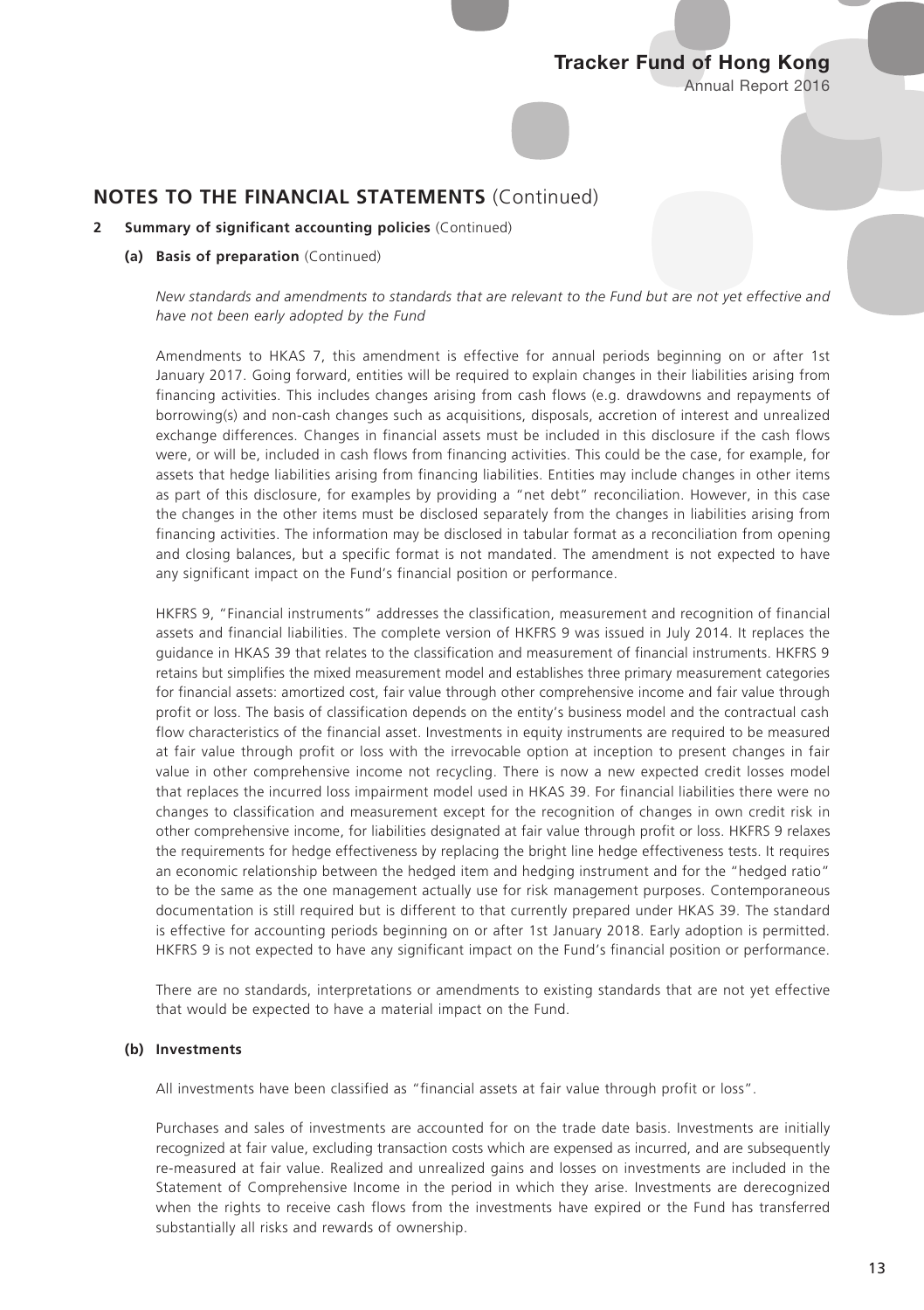Annual Report 2016

### **NOTES TO THE FINANCIAL STATEMENTS** (Continued)

#### **2 Summary of significant accounting policies** (Continued)

#### **(a) Basis of preparation** (Continued)

*New standards and amendments to standards that are relevant to the Fund but are not yet effective and have not been early adopted by the Fund*

Amendments to HKAS 7, this amendment is effective for annual periods beginning on or after 1st January 2017. Going forward, entities will be required to explain changes in their liabilities arising from financing activities. This includes changes arising from cash flows (e.g. drawdowns and repayments of borrowing(s) and non-cash changes such as acquisitions, disposals, accretion of interest and unrealized exchange differences. Changes in financial assets must be included in this disclosure if the cash flows were, or will be, included in cash flows from financing activities. This could be the case, for example, for assets that hedge liabilities arising from financing liabilities. Entities may include changes in other items as part of this disclosure, for examples by providing a "net debt" reconciliation. However, in this case the changes in the other items must be disclosed separately from the changes in liabilities arising from financing activities. The information may be disclosed in tabular format as a reconciliation from opening and closing balances, but a specific format is not mandated. The amendment is not expected to have any significant impact on the Fund's financial position or performance.

HKFRS 9, "Financial instruments" addresses the classification, measurement and recognition of financial assets and financial liabilities. The complete version of HKFRS 9 was issued in July 2014. It replaces the guidance in HKAS 39 that relates to the classification and measurement of financial instruments. HKFRS 9 retains but simplifies the mixed measurement model and establishes three primary measurement categories for financial assets: amortized cost, fair value through other comprehensive income and fair value through profit or loss. The basis of classification depends on the entity's business model and the contractual cash flow characteristics of the financial asset. Investments in equity instruments are required to be measured at fair value through profit or loss with the irrevocable option at inception to present changes in fair value in other comprehensive income not recycling. There is now a new expected credit losses model that replaces the incurred loss impairment model used in HKAS 39. For financial liabilities there were no changes to classification and measurement except for the recognition of changes in own credit risk in other comprehensive income, for liabilities designated at fair value through profit or loss. HKFRS 9 relaxes the requirements for hedge effectiveness by replacing the bright line hedge effectiveness tests. It requires an economic relationship between the hedged item and hedging instrument and for the "hedged ratio" to be the same as the one management actually use for risk management purposes. Contemporaneous documentation is still required but is different to that currently prepared under HKAS 39. The standard is effective for accounting periods beginning on or after 1st January 2018. Early adoption is permitted. HKFRS 9 is not expected to have any significant impact on the Fund's financial position or performance.

There are no standards, interpretations or amendments to existing standards that are not yet effective that would be expected to have a material impact on the Fund.

#### **(b) Investments**

All investments have been classified as "financial assets at fair value through profit or loss".

Purchases and sales of investments are accounted for on the trade date basis. Investments are initially recognized at fair value, excluding transaction costs which are expensed as incurred, and are subsequently re-measured at fair value. Realized and unrealized gains and losses on investments are included in the Statement of Comprehensive Income in the period in which they arise. Investments are derecognized when the rights to receive cash flows from the investments have expired or the Fund has transferred substantially all risks and rewards of ownership.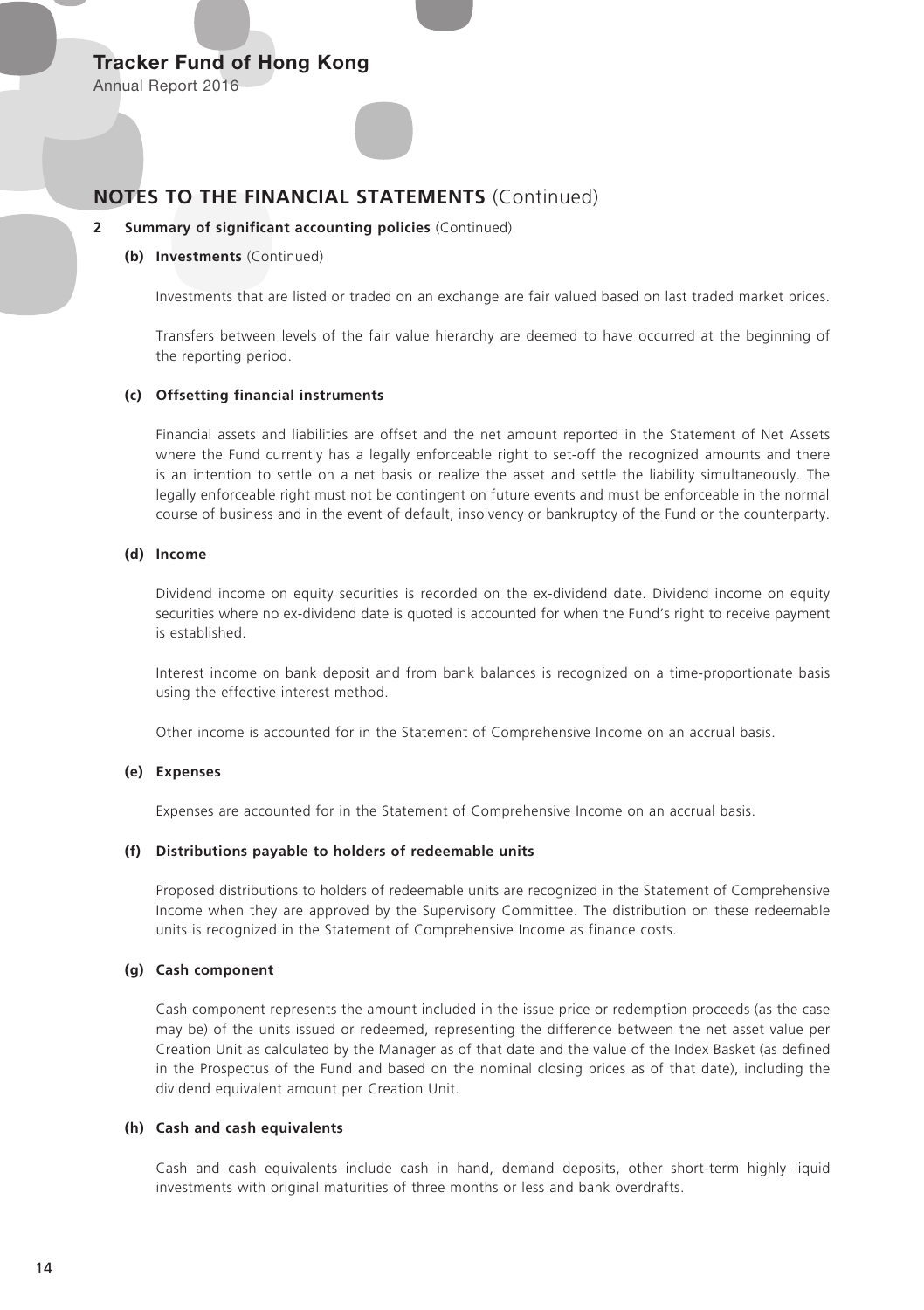Annual Report 2016

### **NOTES TO THE FINANCIAL STATEMENTS** (Continued)

#### **2 Summary of significant accounting policies** (Continued)

#### **(b) Investments** (Continued)

Investments that are listed or traded on an exchange are fair valued based on last traded market prices.

Transfers between levels of the fair value hierarchy are deemed to have occurred at the beginning of the reporting period.

#### **(c) Offsetting financial instruments**

Financial assets and liabilities are offset and the net amount reported in the Statement of Net Assets where the Fund currently has a legally enforceable right to set-off the recognized amounts and there is an intention to settle on a net basis or realize the asset and settle the liability simultaneously. The legally enforceable right must not be contingent on future events and must be enforceable in the normal course of business and in the event of default, insolvency or bankruptcy of the Fund or the counterparty.

#### **(d) Income**

Dividend income on equity securities is recorded on the ex-dividend date. Dividend income on equity securities where no ex-dividend date is quoted is accounted for when the Fund's right to receive payment is established.

Interest income on bank deposit and from bank balances is recognized on a time-proportionate basis using the effective interest method.

Other income is accounted for in the Statement of Comprehensive Income on an accrual basis.

#### **(e) Expenses**

Expenses are accounted for in the Statement of Comprehensive Income on an accrual basis.

#### **(f) Distributions payable to holders of redeemable units**

Proposed distributions to holders of redeemable units are recognized in the Statement of Comprehensive Income when they are approved by the Supervisory Committee. The distribution on these redeemable units is recognized in the Statement of Comprehensive Income as finance costs.

#### **(g) Cash component**

Cash component represents the amount included in the issue price or redemption proceeds (as the case may be) of the units issued or redeemed, representing the difference between the net asset value per Creation Unit as calculated by the Manager as of that date and the value of the Index Basket (as defined in the Prospectus of the Fund and based on the nominal closing prices as of that date), including the dividend equivalent amount per Creation Unit.

#### **(h) Cash and cash equivalents**

Cash and cash equivalents include cash in hand, demand deposits, other short-term highly liquid investments with original maturities of three months or less and bank overdrafts.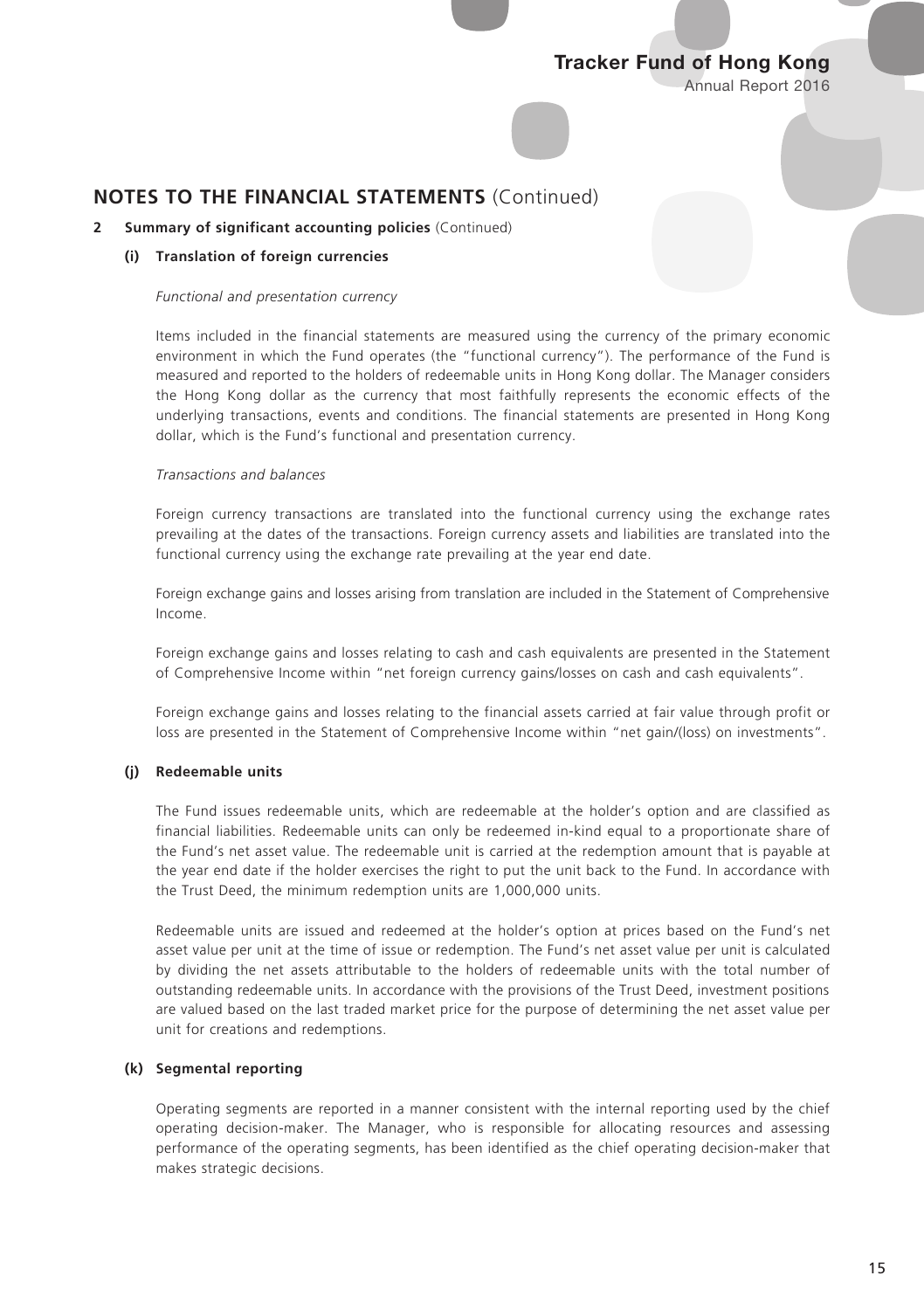Annual Report 2016

### **NOTES TO THE FINANCIAL STATEMENTS** (Continued)

#### **2 Summary of significant accounting policies** (Continued)

#### **(i) Translation of foreign currencies**

#### *Functional and presentation currency*

Items included in the financial statements are measured using the currency of the primary economic environment in which the Fund operates (the "functional currency"). The performance of the Fund is measured and reported to the holders of redeemable units in Hong Kong dollar. The Manager considers the Hong Kong dollar as the currency that most faithfully represents the economic effects of the underlying transactions, events and conditions. The financial statements are presented in Hong Kong dollar, which is the Fund's functional and presentation currency.

#### *Transactions and balances*

Foreign currency transactions are translated into the functional currency using the exchange rates prevailing at the dates of the transactions. Foreign currency assets and liabilities are translated into the functional currency using the exchange rate prevailing at the year end date.

Foreign exchange gains and losses arising from translation are included in the Statement of Comprehensive Income.

Foreign exchange gains and losses relating to cash and cash equivalents are presented in the Statement of Comprehensive Income within "net foreign currency gains/losses on cash and cash equivalents".

Foreign exchange gains and losses relating to the financial assets carried at fair value through profit or loss are presented in the Statement of Comprehensive Income within "net gain/(loss) on investments".

#### **(j) Redeemable units**

The Fund issues redeemable units, which are redeemable at the holder's option and are classified as financial liabilities. Redeemable units can only be redeemed in-kind equal to a proportionate share of the Fund's net asset value. The redeemable unit is carried at the redemption amount that is payable at the year end date if the holder exercises the right to put the unit back to the Fund. In accordance with the Trust Deed, the minimum redemption units are 1,000,000 units.

Redeemable units are issued and redeemed at the holder's option at prices based on the Fund's net asset value per unit at the time of issue or redemption. The Fund's net asset value per unit is calculated by dividing the net assets attributable to the holders of redeemable units with the total number of outstanding redeemable units. In accordance with the provisions of the Trust Deed, investment positions are valued based on the last traded market price for the purpose of determining the net asset value per unit for creations and redemptions.

#### **(k) Segmental reporting**

Operating segments are reported in a manner consistent with the internal reporting used by the chief operating decision-maker. The Manager, who is responsible for allocating resources and assessing performance of the operating segments, has been identified as the chief operating decision-maker that makes strategic decisions.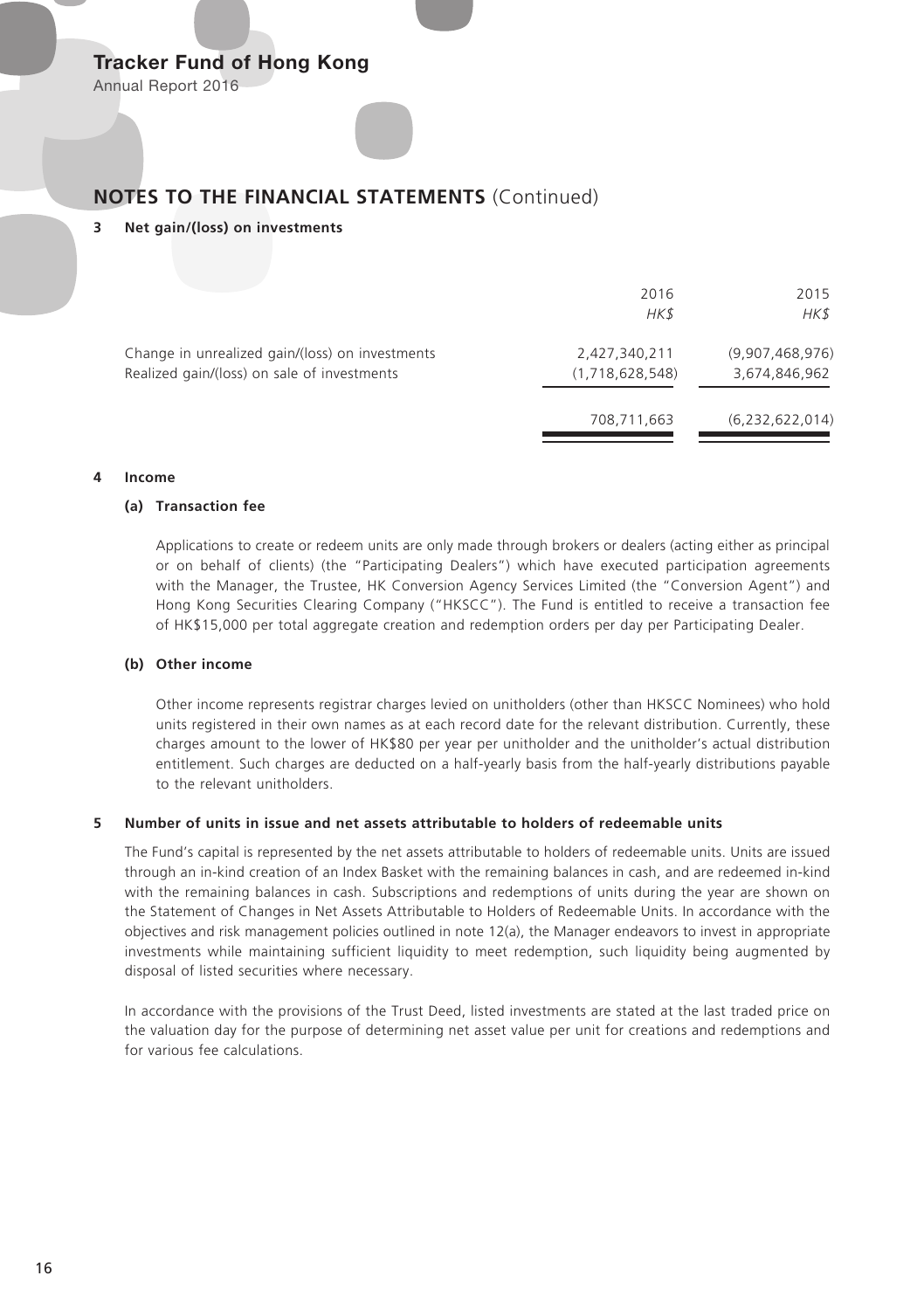Annual Report 2016

### **NOTES TO THE FINANCIAL STATEMENTS** (Continued)

#### **3 Net gain/(loss) on investments**

|                                                                                                | 2016<br>HK\$                     | 2015<br>HK\$                     |
|------------------------------------------------------------------------------------------------|----------------------------------|----------------------------------|
| Change in unrealized gain/(loss) on investments<br>Realized gain/(loss) on sale of investments | 2,427,340,211<br>(1,718,628,548) | (9,907,468,976)<br>3,674,846,962 |
|                                                                                                | 708,711,663                      | (6, 232, 622, 014)               |

#### **4 Income**

#### **(a) Transaction fee**

Applications to create or redeem units are only made through brokers or dealers (acting either as principal or on behalf of clients) (the "Participating Dealers") which have executed participation agreements with the Manager, the Trustee, HK Conversion Agency Services Limited (the "Conversion Agent") and Hong Kong Securities Clearing Company ("HKSCC"). The Fund is entitled to receive a transaction fee of HK\$15,000 per total aggregate creation and redemption orders per day per Participating Dealer.

#### **(b) Other income**

Other income represents registrar charges levied on unitholders (other than HKSCC Nominees) who hold units registered in their own names as at each record date for the relevant distribution. Currently, these charges amount to the lower of HK\$80 per year per unitholder and the unitholder's actual distribution entitlement. Such charges are deducted on a half-yearly basis from the half-yearly distributions payable to the relevant unitholders.

#### **5 Number of units in issue and net assets attributable to holders of redeemable units**

The Fund's capital is represented by the net assets attributable to holders of redeemable units. Units are issued through an in-kind creation of an Index Basket with the remaining balances in cash, and are redeemed in-kind with the remaining balances in cash. Subscriptions and redemptions of units during the year are shown on the Statement of Changes in Net Assets Attributable to Holders of Redeemable Units. In accordance with the objectives and risk management policies outlined in note 12(a), the Manager endeavors to invest in appropriate investments while maintaining sufficient liquidity to meet redemption, such liquidity being augmented by disposal of listed securities where necessary.

In accordance with the provisions of the Trust Deed, listed investments are stated at the last traded price on the valuation day for the purpose of determining net asset value per unit for creations and redemptions and for various fee calculations.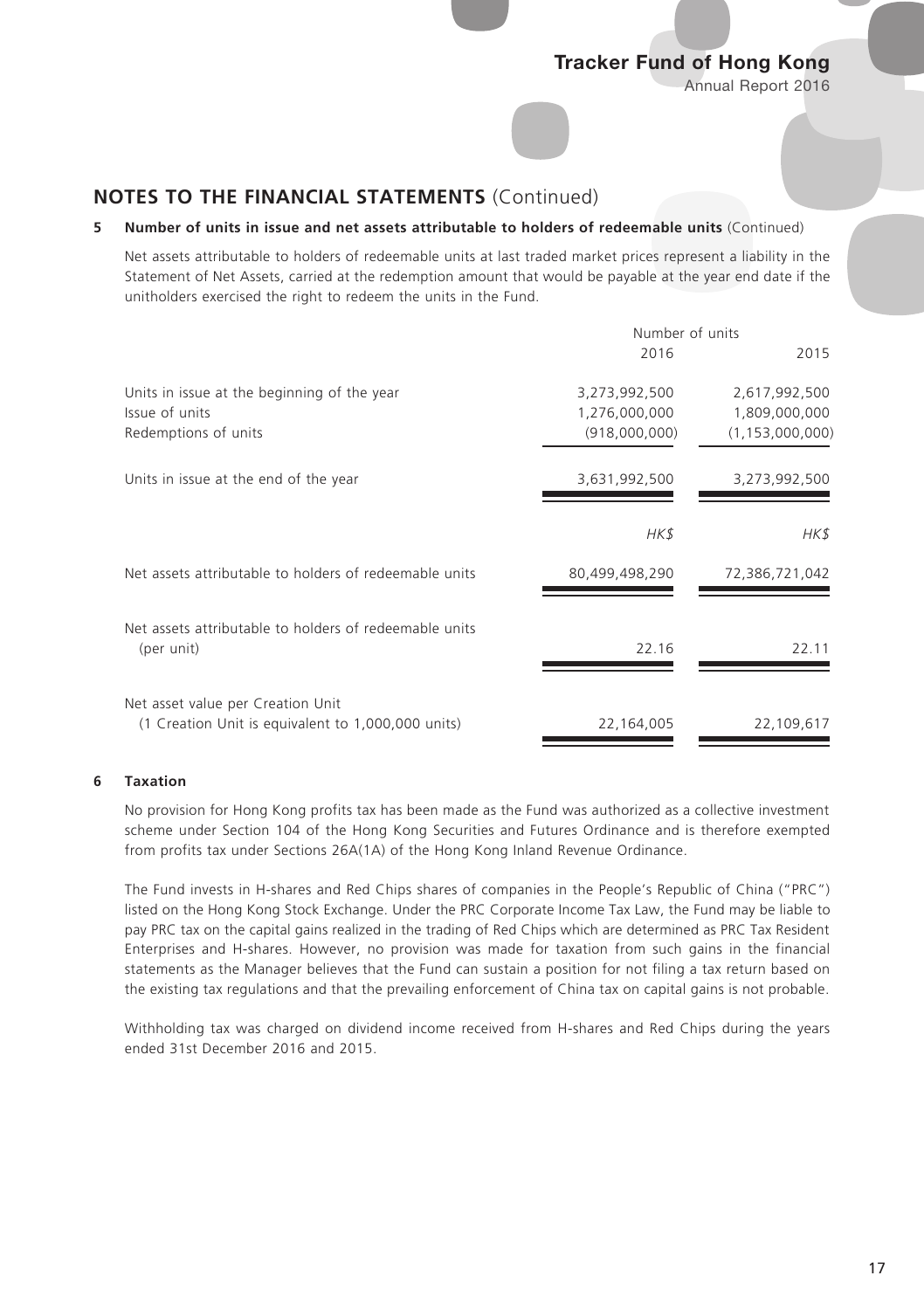Annual Report 2016

### **NOTES TO THE FINANCIAL STATEMENTS** (Continued)

#### **5 Number of units in issue and net assets attributable to holders of redeemable units** (Continued)

Net assets attributable to holders of redeemable units at last traded market prices represent a liability in the Statement of Net Assets, carried at the redemption amount that would be payable at the year end date if the unitholders exercised the right to redeem the units in the Fund.

|                                                                                         | Number of units |                    |  |
|-----------------------------------------------------------------------------------------|-----------------|--------------------|--|
|                                                                                         | 2016            | 2015               |  |
| Units in issue at the beginning of the year                                             | 3,273,992,500   | 2,617,992,500      |  |
| Issue of units                                                                          | 1,276,000,000   | 1,809,000,000      |  |
| Redemptions of units                                                                    | (918,000,000)   | (1, 153, 000, 000) |  |
| Units in issue at the end of the year                                                   | 3,631,992,500   | 3,273,992,500      |  |
|                                                                                         | HK\$            | HK\$               |  |
| Net assets attributable to holders of redeemable units                                  | 80,499,498,290  | 72,386,721,042     |  |
| Net assets attributable to holders of redeemable units<br>(per unit)                    | 22.16           | 22.11              |  |
| Net asset value per Creation Unit<br>(1 Creation Unit is equivalent to 1,000,000 units) | 22,164,005      | 22,109,617         |  |

#### **6 Taxation**

No provision for Hong Kong profits tax has been made as the Fund was authorized as a collective investment scheme under Section 104 of the Hong Kong Securities and Futures Ordinance and is therefore exempted from profits tax under Sections 26A(1A) of the Hong Kong Inland Revenue Ordinance.

The Fund invests in H-shares and Red Chips shares of companies in the People's Republic of China ("PRC") listed on the Hong Kong Stock Exchange. Under the PRC Corporate Income Tax Law, the Fund may be liable to pay PRC tax on the capital gains realized in the trading of Red Chips which are determined as PRC Tax Resident Enterprises and H-shares. However, no provision was made for taxation from such gains in the financial statements as the Manager believes that the Fund can sustain a position for not filing a tax return based on the existing tax regulations and that the prevailing enforcement of China tax on capital gains is not probable.

Withholding tax was charged on dividend income received from H-shares and Red Chips during the years ended 31st December 2016 and 2015.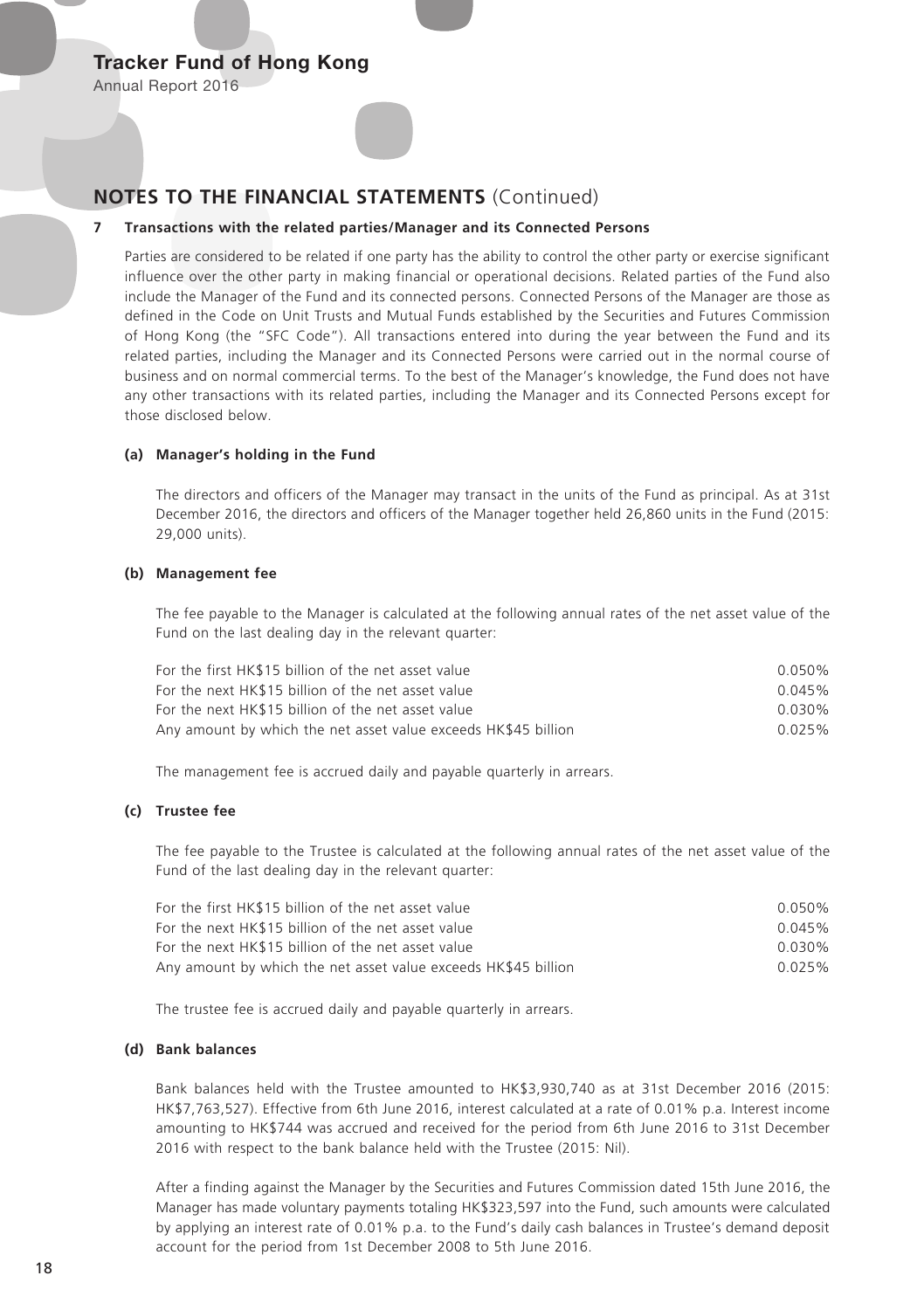Annual Report 2016

### **NOTES TO THE FINANCIAL STATEMENTS** (Continued)

#### **7 Transactions with the related parties/Manager and its Connected Persons**

Parties are considered to be related if one party has the ability to control the other party or exercise significant influence over the other party in making financial or operational decisions. Related parties of the Fund also include the Manager of the Fund and its connected persons. Connected Persons of the Manager are those as defined in the Code on Unit Trusts and Mutual Funds established by the Securities and Futures Commission of Hong Kong (the "SFC Code"). All transactions entered into during the year between the Fund and its related parties, including the Manager and its Connected Persons were carried out in the normal course of business and on normal commercial terms. To the best of the Manager's knowledge, the Fund does not have any other transactions with its related parties, including the Manager and its Connected Persons except for those disclosed below.

#### **(a) Manager's holding in the Fund**

The directors and officers of the Manager may transact in the units of the Fund as principal. As at 31st December 2016, the directors and officers of the Manager together held 26,860 units in the Fund (2015: 29,000 units).

#### **(b) Management fee**

The fee payable to the Manager is calculated at the following annual rates of the net asset value of the Fund on the last dealing day in the relevant quarter:

| For the first HK\$15 billion of the net asset value            | $0.050\%$ |
|----------------------------------------------------------------|-----------|
| For the next HK\$15 billion of the net asset value             | 0.045%    |
| For the next HK\$15 billion of the net asset value             | $0.030\%$ |
| Any amount by which the net asset value exceeds HK\$45 billion | 0.025%    |

The management fee is accrued daily and payable quarterly in arrears.

#### **(c) Trustee fee**

The fee payable to the Trustee is calculated at the following annual rates of the net asset value of the Fund of the last dealing day in the relevant quarter:

| For the first HK\$15 billion of the net asset value            | $0.050\%$ |
|----------------------------------------------------------------|-----------|
| For the next HK\$15 billion of the net asset value             | 0.045%    |
| For the next HK\$15 billion of the net asset value             | $0.030\%$ |
| Any amount by which the net asset value exceeds HK\$45 billion | 0.025%    |

The trustee fee is accrued daily and payable quarterly in arrears.

#### **(d) Bank balances**

Bank balances held with the Trustee amounted to HK\$3,930,740 as at 31st December 2016 (2015: HK\$7,763,527). Effective from 6th June 2016, interest calculated at a rate of 0.01% p.a. Interest income amounting to HK\$744 was accrued and received for the period from 6th June 2016 to 31st December 2016 with respect to the bank balance held with the Trustee (2015: Nil).

After a finding against the Manager by the Securities and Futures Commission dated 15th June 2016, the Manager has made voluntary payments totaling HK\$323,597 into the Fund, such amounts were calculated by applying an interest rate of 0.01% p.a. to the Fund's daily cash balances in Trustee's demand deposit account for the period from 1st December 2008 to 5th June 2016.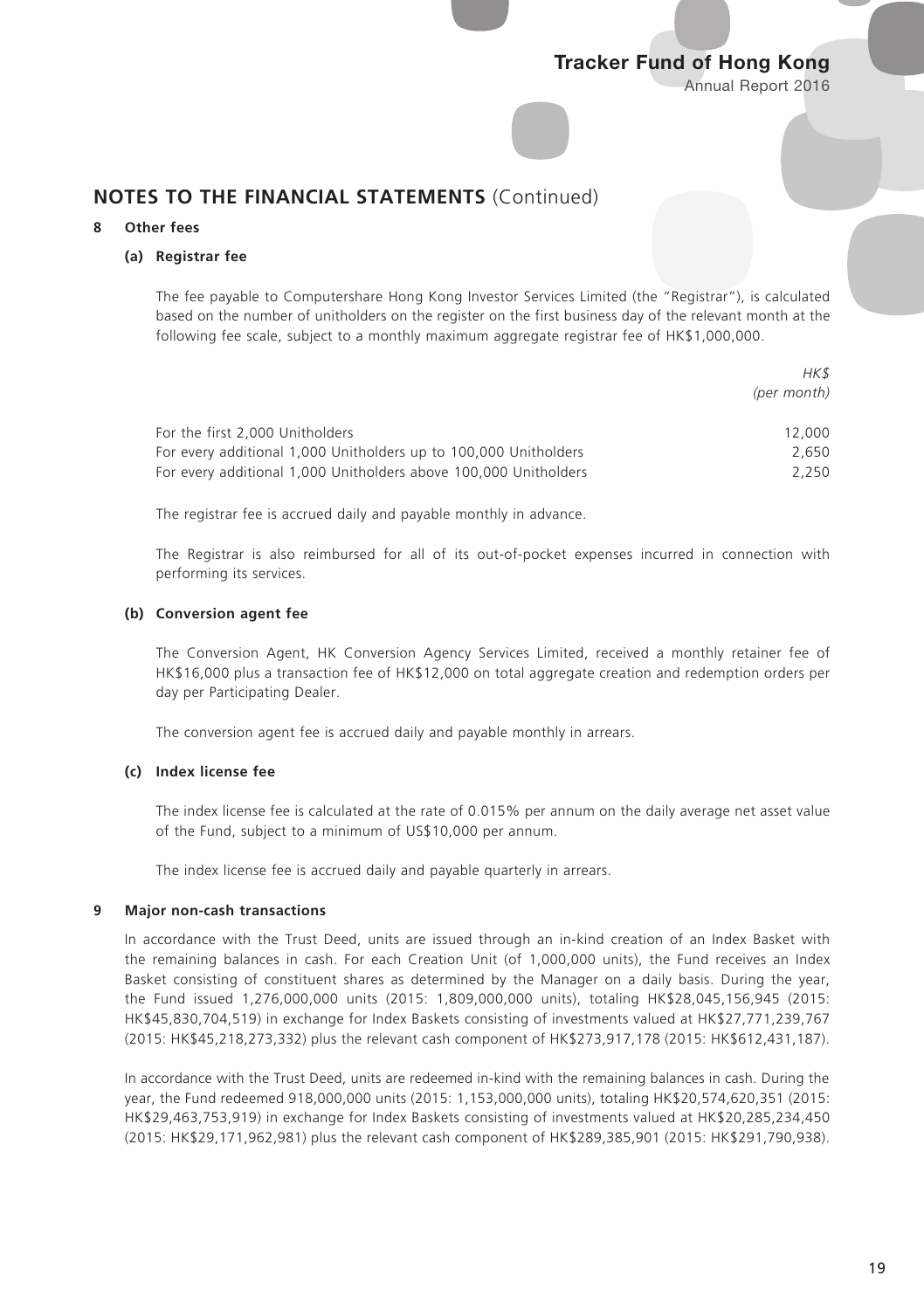Annual Report 2016

### **NOTES TO THE FINANCIAL STATEMENTS** (Continued)

#### **8 Other fees**

#### **(a) Registrar fee**

The fee payable to Computershare Hong Kong Investor Services Limited (the "Registrar"), is calculated based on the number of unitholders on the register on the first business day of the relevant month at the following fee scale, subject to a monthly maximum aggregate registrar fee of HK\$1,000,000.

|                                                                  | HK <sub>5</sub> |
|------------------------------------------------------------------|-----------------|
|                                                                  | (per month)     |
| For the first 2,000 Unitholders                                  | 12,000          |
| For every additional 1,000 Unitholders up to 100,000 Unitholders | 2.650           |
| For every additional 1,000 Unitholders above 100,000 Unitholders | 2.250           |

The registrar fee is accrued daily and payable monthly in advance.

The Registrar is also reimbursed for all of its out-of-pocket expenses incurred in connection with performing its services.

#### **(b) Conversion agent fee**

The Conversion Agent, HK Conversion Agency Services Limited, received a monthly retainer fee of HK\$16,000 plus a transaction fee of HK\$12,000 on total aggregate creation and redemption orders per day per Participating Dealer.

The conversion agent fee is accrued daily and payable monthly in arrears.

#### **(c) Index license fee**

The index license fee is calculated at the rate of 0.015% per annum on the daily average net asset value of the Fund, subject to a minimum of US\$10,000 per annum.

The index license fee is accrued daily and payable quarterly in arrears.

#### **9 Major non-cash transactions**

In accordance with the Trust Deed, units are issued through an in-kind creation of an Index Basket with the remaining balances in cash. For each Creation Unit (of 1,000,000 units), the Fund receives an Index Basket consisting of constituent shares as determined by the Manager on a daily basis. During the year, the Fund issued 1,276,000,000 units (2015: 1,809,000,000 units), totaling HK\$28,045,156,945 (2015: HK\$45,830,704,519) in exchange for Index Baskets consisting of investments valued at HK\$27,771,239,767 (2015: HK\$45,218,273,332) plus the relevant cash component of HK\$273,917,178 (2015: HK\$612,431,187).

In accordance with the Trust Deed, units are redeemed in-kind with the remaining balances in cash. During the year, the Fund redeemed 918,000,000 units (2015: 1,153,000,000 units), totaling HK\$20,574,620,351 (2015: HK\$29,463,753,919) in exchange for Index Baskets consisting of investments valued at HK\$20,285,234,450 (2015: HK\$29,171,962,981) plus the relevant cash component of HK\$289,385,901 (2015: HK\$291,790,938).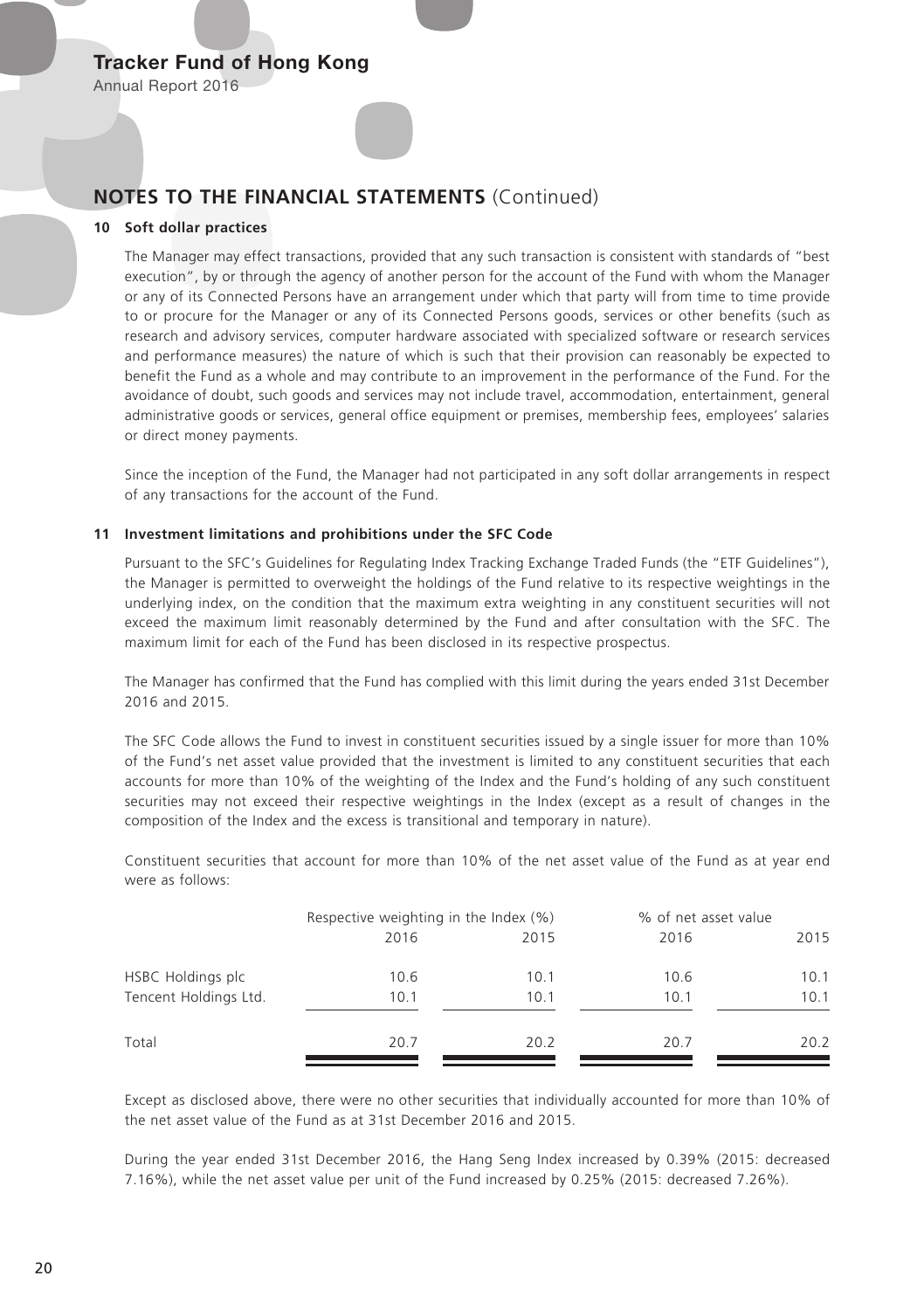Annual Report 2016

### **NOTES TO THE FINANCIAL STATEMENTS** (Continued)

#### **10 Soft dollar practices**

The Manager may effect transactions, provided that any such transaction is consistent with standards of "best execution", by or through the agency of another person for the account of the Fund with whom the Manager or any of its Connected Persons have an arrangement under which that party will from time to time provide to or procure for the Manager or any of its Connected Persons goods, services or other benefits (such as research and advisory services, computer hardware associated with specialized software or research services and performance measures) the nature of which is such that their provision can reasonably be expected to benefit the Fund as a whole and may contribute to an improvement in the performance of the Fund. For the avoidance of doubt, such goods and services may not include travel, accommodation, entertainment, general administrative goods or services, general office equipment or premises, membership fees, employees' salaries or direct money payments.

Since the inception of the Fund, the Manager had not participated in any soft dollar arrangements in respect of any transactions for the account of the Fund.

#### **11 Investment limitations and prohibitions under the SFC Code**

Pursuant to the SFC's Guidelines for Regulating Index Tracking Exchange Traded Funds (the "ETF Guidelines"), the Manager is permitted to overweight the holdings of the Fund relative to its respective weightings in the underlying index, on the condition that the maximum extra weighting in any constituent securities will not exceed the maximum limit reasonably determined by the Fund and after consultation with the SFC. The maximum limit for each of the Fund has been disclosed in its respective prospectus.

The Manager has confirmed that the Fund has complied with this limit during the years ended 31st December 2016 and 2015.

The SFC Code allows the Fund to invest in constituent securities issued by a single issuer for more than 10% of the Fund's net asset value provided that the investment is limited to any constituent securities that each accounts for more than 10% of the weighting of the Index and the Fund's holding of any such constituent securities may not exceed their respective weightings in the Index (except as a result of changes in the composition of the Index and the excess is transitional and temporary in nature).

Constituent securities that account for more than 10% of the net asset value of the Fund as at year end were as follows:

|                       | Respective weighting in the Index (%)<br>2016<br>2015 |      | % of net asset value<br>2016<br>2015 |      |
|-----------------------|-------------------------------------------------------|------|--------------------------------------|------|
| HSBC Holdings plc     | 10.6                                                  | 10.1 | 10.6                                 | 10.1 |
| Tencent Holdings Ltd. | 10.1                                                  | 10.1 | 10.1                                 | 10.1 |
| Total                 | 20.7                                                  | 20.2 | 20.7                                 | 20.2 |

Except as disclosed above, there were no other securities that individually accounted for more than 10% of the net asset value of the Fund as at 31st December 2016 and 2015.

During the year ended 31st December 2016, the Hang Seng Index increased by 0.39% (2015: decreased 7.16%), while the net asset value per unit of the Fund increased by 0.25% (2015: decreased 7.26%).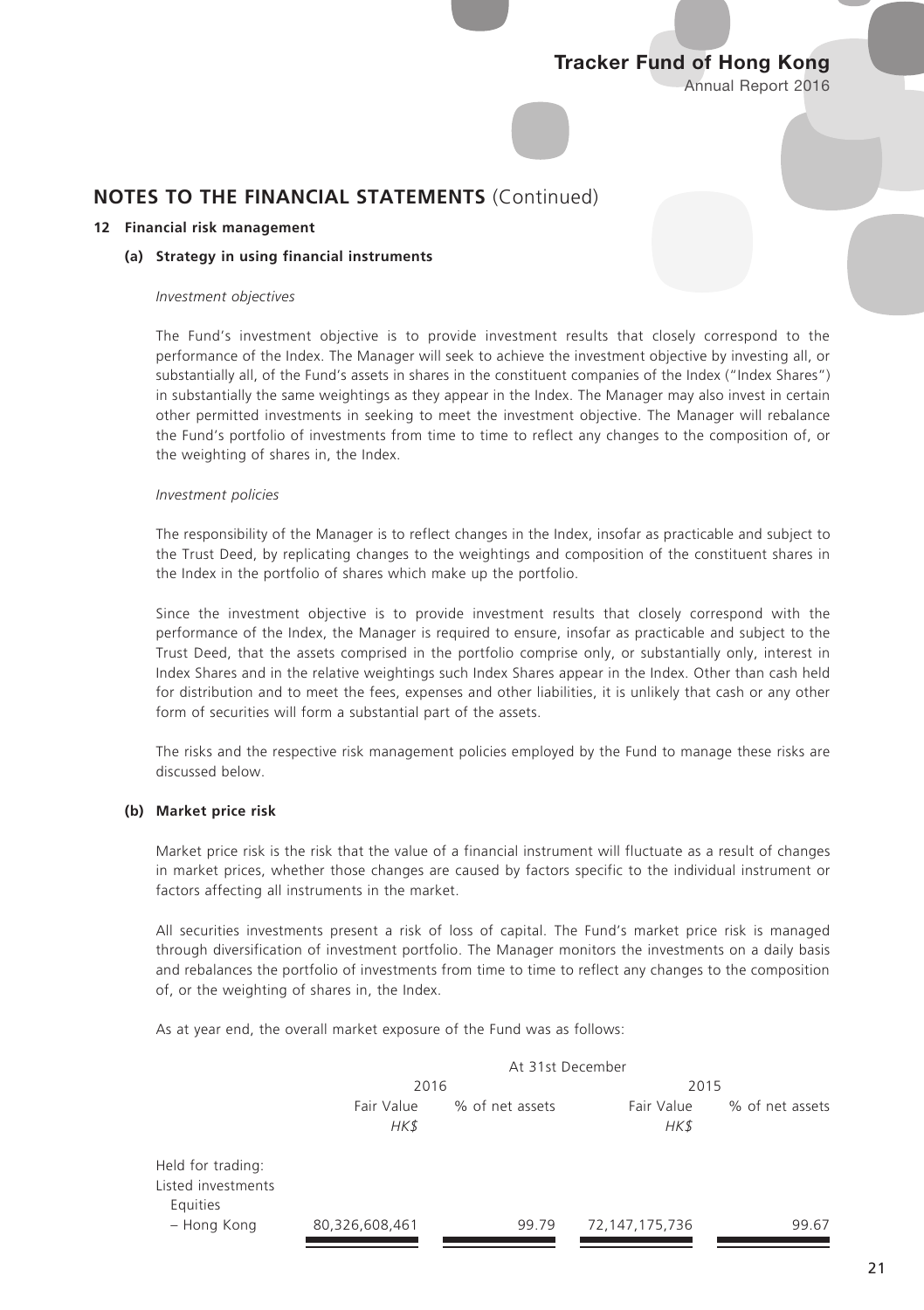Annual Report 2016

### **NOTES TO THE FINANCIAL STATEMENTS** (Continued)

#### **12 Financial risk management**

#### **(a) Strategy in using financial instruments**

#### *Investment objectives*

The Fund's investment objective is to provide investment results that closely correspond to the performance of the Index. The Manager will seek to achieve the investment objective by investing all, or substantially all, of the Fund's assets in shares in the constituent companies of the Index ("Index Shares") in substantially the same weightings as they appear in the Index. The Manager may also invest in certain other permitted investments in seeking to meet the investment objective. The Manager will rebalance the Fund's portfolio of investments from time to time to reflect any changes to the composition of, or the weighting of shares in, the Index.

#### *Investment policies*

The responsibility of the Manager is to reflect changes in the Index, insofar as practicable and subject to the Trust Deed, by replicating changes to the weightings and composition of the constituent shares in the Index in the portfolio of shares which make up the portfolio.

Since the investment objective is to provide investment results that closely correspond with the performance of the Index, the Manager is required to ensure, insofar as practicable and subject to the Trust Deed, that the assets comprised in the portfolio comprise only, or substantially only, interest in Index Shares and in the relative weightings such Index Shares appear in the Index. Other than cash held for distribution and to meet the fees, expenses and other liabilities, it is unlikely that cash or any other form of securities will form a substantial part of the assets.

The risks and the respective risk management policies employed by the Fund to manage these risks are discussed below.

#### **(b) Market price risk**

Market price risk is the risk that the value of a financial instrument will fluctuate as a result of changes in market prices, whether those changes are caused by factors specific to the individual instrument or factors affecting all instruments in the market.

All securities investments present a risk of loss of capital. The Fund's market price risk is managed through diversification of investment portfolio. The Manager monitors the investments on a daily basis and rebalances the portfolio of investments from time to time to reflect any changes to the composition of, or the weighting of shares in, the Index.

As at year end, the overall market exposure of the Fund was as follows:

|                                                     | At 31st December   |                 |                    |                 |
|-----------------------------------------------------|--------------------|-----------------|--------------------|-----------------|
|                                                     | 2016               |                 | 2015               |                 |
|                                                     | Fair Value<br>HK\$ | % of net assets | Fair Value<br>HK\$ | % of net assets |
| Held for trading:<br>Listed investments<br>Equities |                    |                 |                    |                 |
| - Hong Kong                                         | 80,326,608,461     | 99.79           | 72, 147, 175, 736  | 99.67           |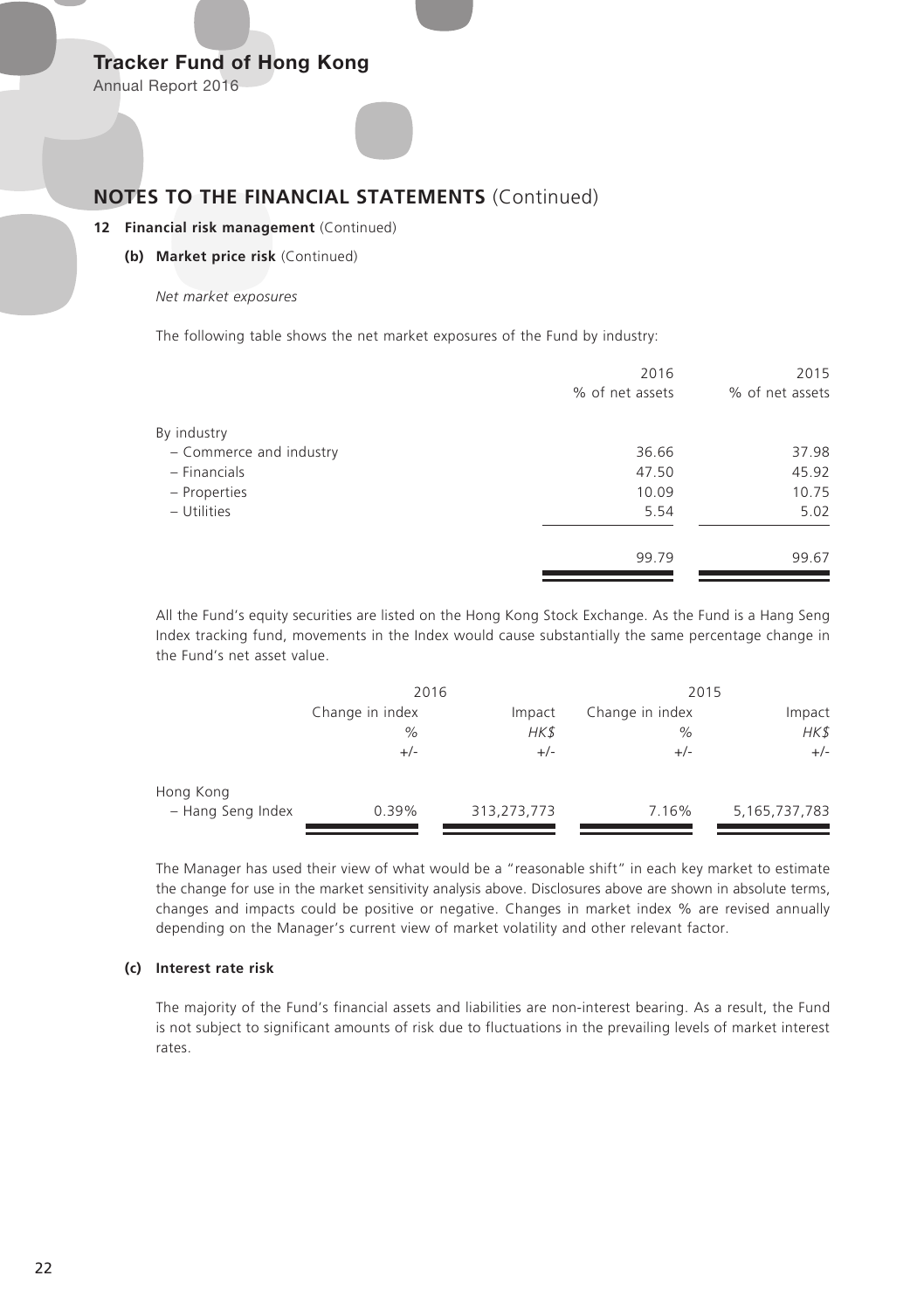Annual Report 2016

### **NOTES TO THE FINANCIAL STATEMENTS** (Continued)

#### **12 Financial risk management** (Continued)

#### **(b) Market price risk** (Continued)

#### *Net market exposures*

The following table shows the net market exposures of the Fund by industry:

| 2016            | 2015            |
|-----------------|-----------------|
| % of net assets | % of net assets |
|                 |                 |
| 36.66           | 37.98           |
| 47.50           | 45.92           |
| 10.09           | 10.75           |
| 5.54            | 5.02            |
| 99.79           | 99.67           |
|                 |                 |

All the Fund's equity securities are listed on the Hong Kong Stock Exchange. As the Fund is a Hang Seng Index tracking fund, movements in the Index would cause substantially the same percentage change in the Fund's net asset value.

|                   | 2016                      |             | 2015            |                  |
|-------------------|---------------------------|-------------|-----------------|------------------|
|                   | Change in index<br>Impact |             | Change in index | Impact           |
|                   | $\frac{0}{0}$             | HK\$        | $\%$            | HK\$             |
|                   | $+/-$                     | $+/-$       | $+/-$           | $+/-$            |
| Hong Kong         |                           |             |                 |                  |
| - Hang Seng Index | 0.39%                     | 313,273,773 | 7.16%           | 5, 165, 737, 783 |

The Manager has used their view of what would be a "reasonable shift" in each key market to estimate the change for use in the market sensitivity analysis above. Disclosures above are shown in absolute terms, changes and impacts could be positive or negative. Changes in market index % are revised annually depending on the Manager's current view of market volatility and other relevant factor.

#### **(c) Interest rate risk**

The majority of the Fund's financial assets and liabilities are non-interest bearing. As a result, the Fund is not subject to significant amounts of risk due to fluctuations in the prevailing levels of market interest rates.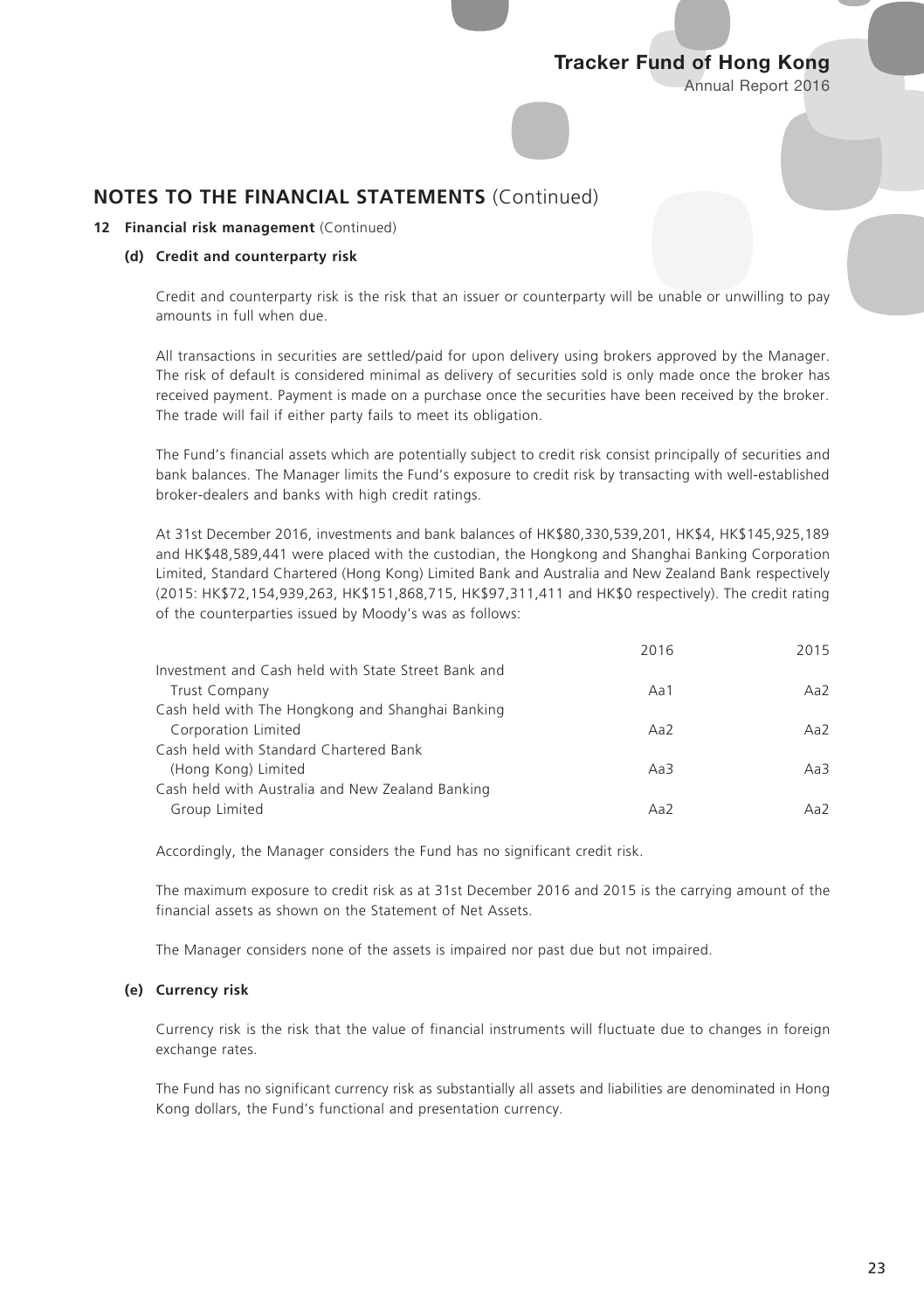Annual Report 2016

### **NOTES TO THE FINANCIAL STATEMENTS** (Continued)

#### **12 Financial risk management** (Continued)

#### **(d) Credit and counterparty risk**

Credit and counterparty risk is the risk that an issuer or counterparty will be unable or unwilling to pay amounts in full when due.

All transactions in securities are settled/paid for upon delivery using brokers approved by the Manager. The risk of default is considered minimal as delivery of securities sold is only made once the broker has received payment. Payment is made on a purchase once the securities have been received by the broker. The trade will fail if either party fails to meet its obligation.

The Fund's financial assets which are potentially subject to credit risk consist principally of securities and bank balances. The Manager limits the Fund's exposure to credit risk by transacting with well-established broker-dealers and banks with high credit ratings.

At 31st December 2016, investments and bank balances of HK\$80,330,539,201, HK\$4, HK\$145,925,189 and HK\$48,589,441 were placed with the custodian, the Hongkong and Shanghai Banking Corporation Limited, Standard Chartered (Hong Kong) Limited Bank and Australia and New Zealand Bank respectively (2015: HK\$72,154,939,263, HK\$151,868,715, HK\$97,311,411 and HK\$0 respectively). The credit rating of the counterparties issued by Moody's was as follows:

| 2016 | 2015 |
|------|------|
|      |      |
| Aa1  | Aa2  |
|      |      |
| Aa2  | Aa2  |
|      |      |
| Aa3  | Aa3  |
|      |      |
| Aa2  | Aa2  |
|      |      |

Accordingly, the Manager considers the Fund has no significant credit risk.

The maximum exposure to credit risk as at 31st December 2016 and 2015 is the carrying amount of the financial assets as shown on the Statement of Net Assets.

The Manager considers none of the assets is impaired nor past due but not impaired.

#### **(e) Currency risk**

Currency risk is the risk that the value of financial instruments will fluctuate due to changes in foreign exchange rates.

The Fund has no significant currency risk as substantially all assets and liabilities are denominated in Hong Kong dollars, the Fund's functional and presentation currency.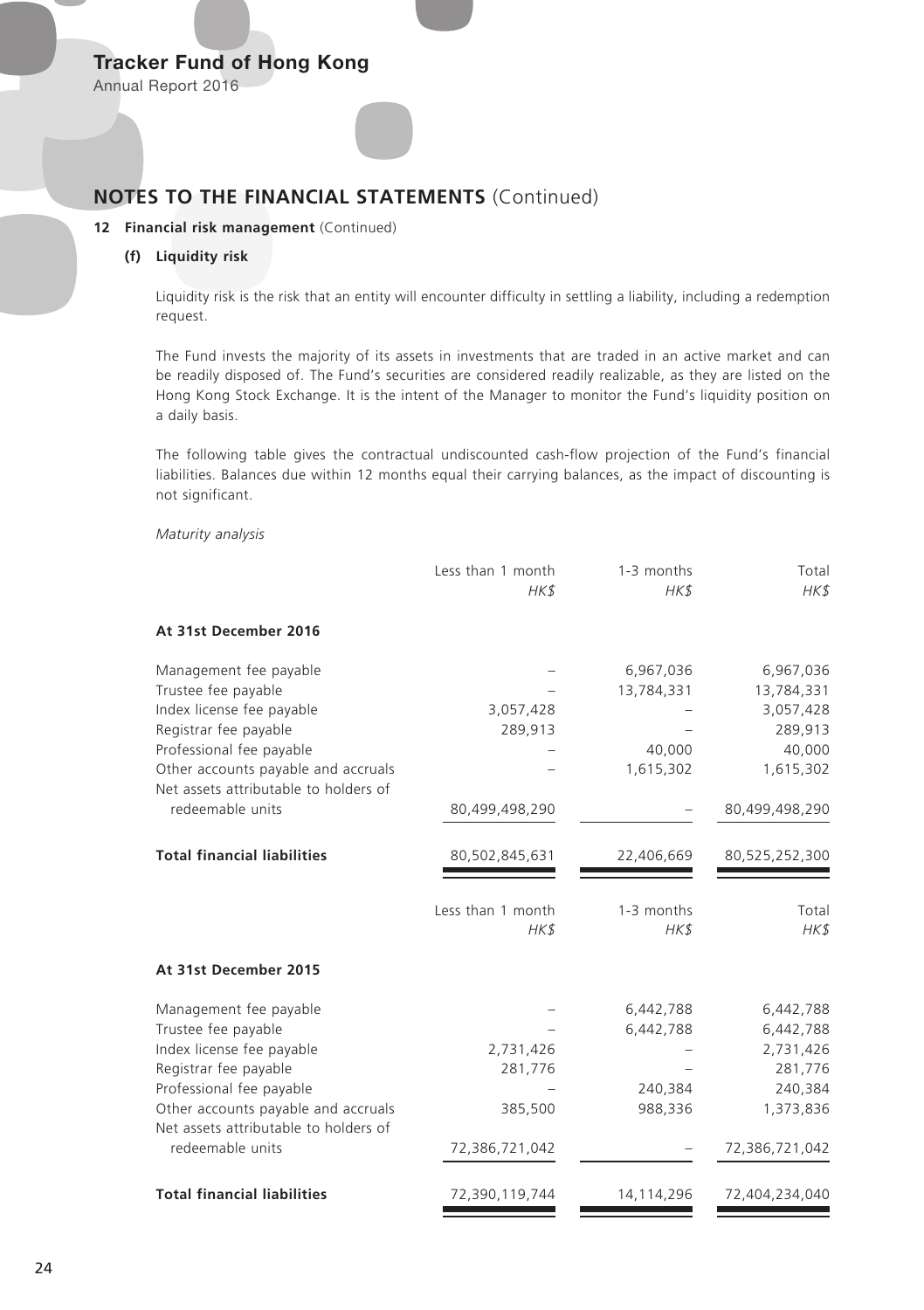Annual Report 2016

### **NOTES TO THE FINANCIAL STATEMENTS** (Continued)

#### **12 Financial risk management** (Continued)

#### **(f) Liquidity risk**

Liquidity risk is the risk that an entity will encounter difficulty in settling a liability, including a redemption request.

The Fund invests the majority of its assets in investments that are traded in an active market and can be readily disposed of. The Fund's securities are considered readily realizable, as they are listed on the Hong Kong Stock Exchange. It is the intent of the Manager to monitor the Fund's liquidity position on a daily basis.

The following table gives the contractual undiscounted cash-flow projection of the Fund's financial liabilities. Balances due within 12 months equal their carrying balances, as the impact of discounting is not significant.

#### *Maturity analysis*

|                                                                              | Less than 1 month<br>HK\$ | 1-3 months<br>HK\$ | Total<br>HK\$  |
|------------------------------------------------------------------------------|---------------------------|--------------------|----------------|
| At 31st December 2016                                                        |                           |                    |                |
| Management fee payable                                                       |                           | 6,967,036          | 6,967,036      |
| Trustee fee payable                                                          |                           | 13,784,331         | 13,784,331     |
| Index license fee payable                                                    | 3,057,428                 |                    | 3,057,428      |
| Registrar fee payable                                                        | 289,913                   |                    | 289,913        |
| Professional fee payable                                                     |                           | 40,000             | 40,000         |
| Other accounts payable and accruals<br>Net assets attributable to holders of |                           | 1,615,302          | 1,615,302      |
| redeemable units                                                             | 80,499,498,290            |                    | 80,499,498,290 |
| <b>Total financial liabilities</b>                                           | 80,502,845,631            | 22,406,669         | 80,525,252,300 |
|                                                                              |                           |                    |                |
|                                                                              | Less than 1 month<br>HK\$ | 1-3 months<br>HK\$ | Total<br>HK\$  |
| At 31st December 2015                                                        |                           |                    |                |
| Management fee payable                                                       |                           | 6,442,788          | 6,442,788      |
| Trustee fee payable                                                          |                           | 6,442,788          | 6,442,788      |
| Index license fee payable                                                    | 2,731,426                 |                    | 2,731,426      |
| Registrar fee payable                                                        | 281,776                   |                    | 281,776        |
| Professional fee payable                                                     |                           | 240,384            | 240,384        |
| Other accounts payable and accruals<br>Net assets attributable to holders of | 385,500                   | 988,336            | 1,373,836      |
| redeemable units                                                             | 72,386,721,042            |                    | 72,386,721,042 |
| <b>Total financial liabilities</b>                                           | 72,390,119,744            | 14,114,296         | 72,404,234,040 |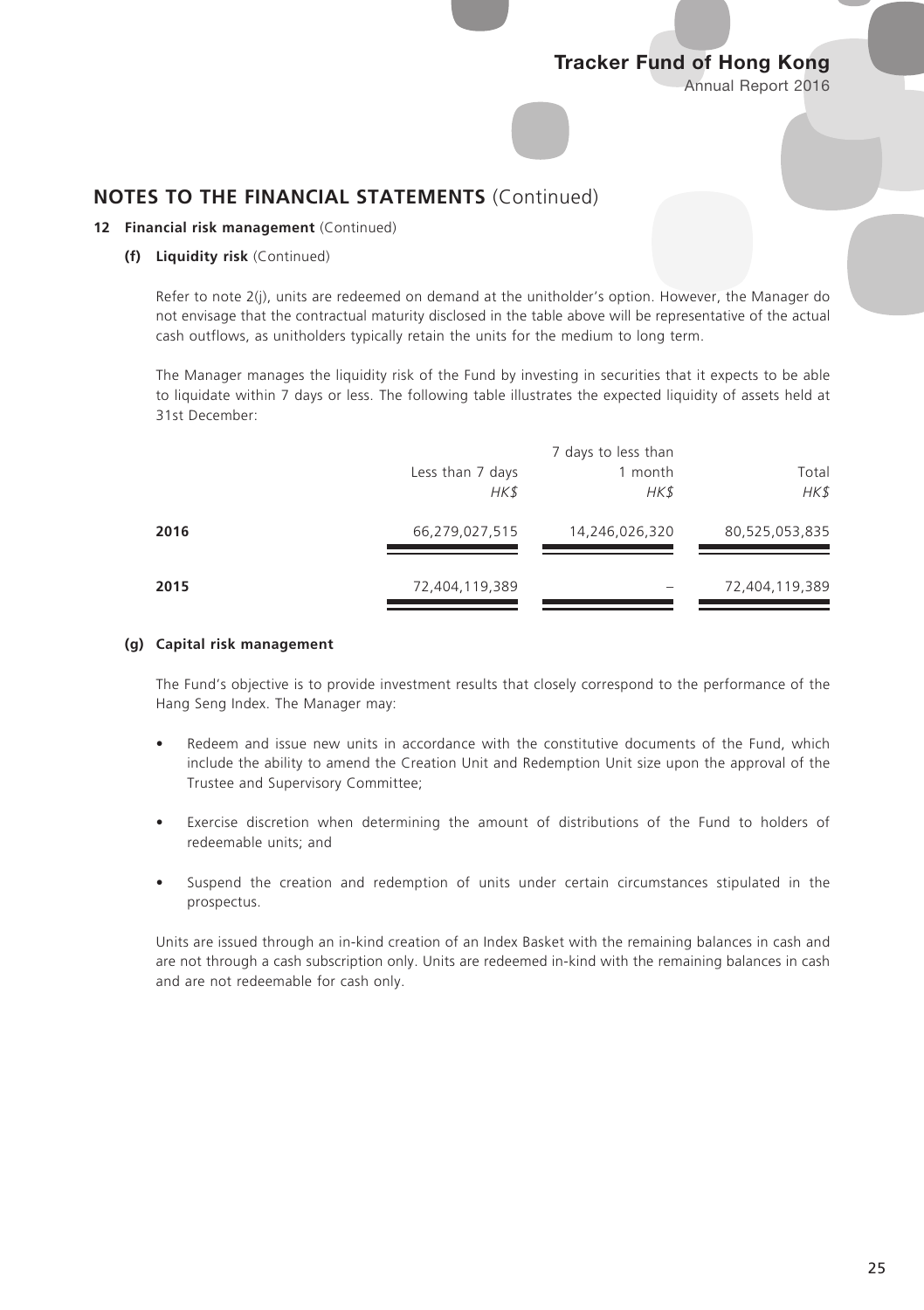Annual Report 2016

### **NOTES TO THE FINANCIAL STATEMENTS** (Continued)

#### **12 Financial risk management** (Continued)

#### **(f) Liquidity risk** (Continued)

Refer to note 2(j), units are redeemed on demand at the unitholder's option. However, the Manager do not envisage that the contractual maturity disclosed in the table above will be representative of the actual cash outflows, as unitholders typically retain the units for the medium to long term.

The Manager manages the liquidity risk of the Fund by investing in securities that it expects to be able to liquidate within 7 days or less. The following table illustrates the expected liquidity of assets held at 31st December:

|      | Less than 7 days<br>HK\$ | 7 days to less than<br>1 month<br>HK\$ | Total<br>HK\$  |
|------|--------------------------|----------------------------------------|----------------|
| 2016 | 66,279,027,515           | 14,246,026,320                         | 80,525,053,835 |
| 2015 | 72,404,119,389           |                                        | 72,404,119,389 |

#### **(g) Capital risk management**

The Fund's objective is to provide investment results that closely correspond to the performance of the Hang Seng Index. The Manager may:

- Redeem and issue new units in accordance with the constitutive documents of the Fund, which include the ability to amend the Creation Unit and Redemption Unit size upon the approval of the Trustee and Supervisory Committee;
- Exercise discretion when determining the amount of distributions of the Fund to holders of redeemable units; and
- Suspend the creation and redemption of units under certain circumstances stipulated in the prospectus.

Units are issued through an in-kind creation of an Index Basket with the remaining balances in cash and are not through a cash subscription only. Units are redeemed in-kind with the remaining balances in cash and are not redeemable for cash only.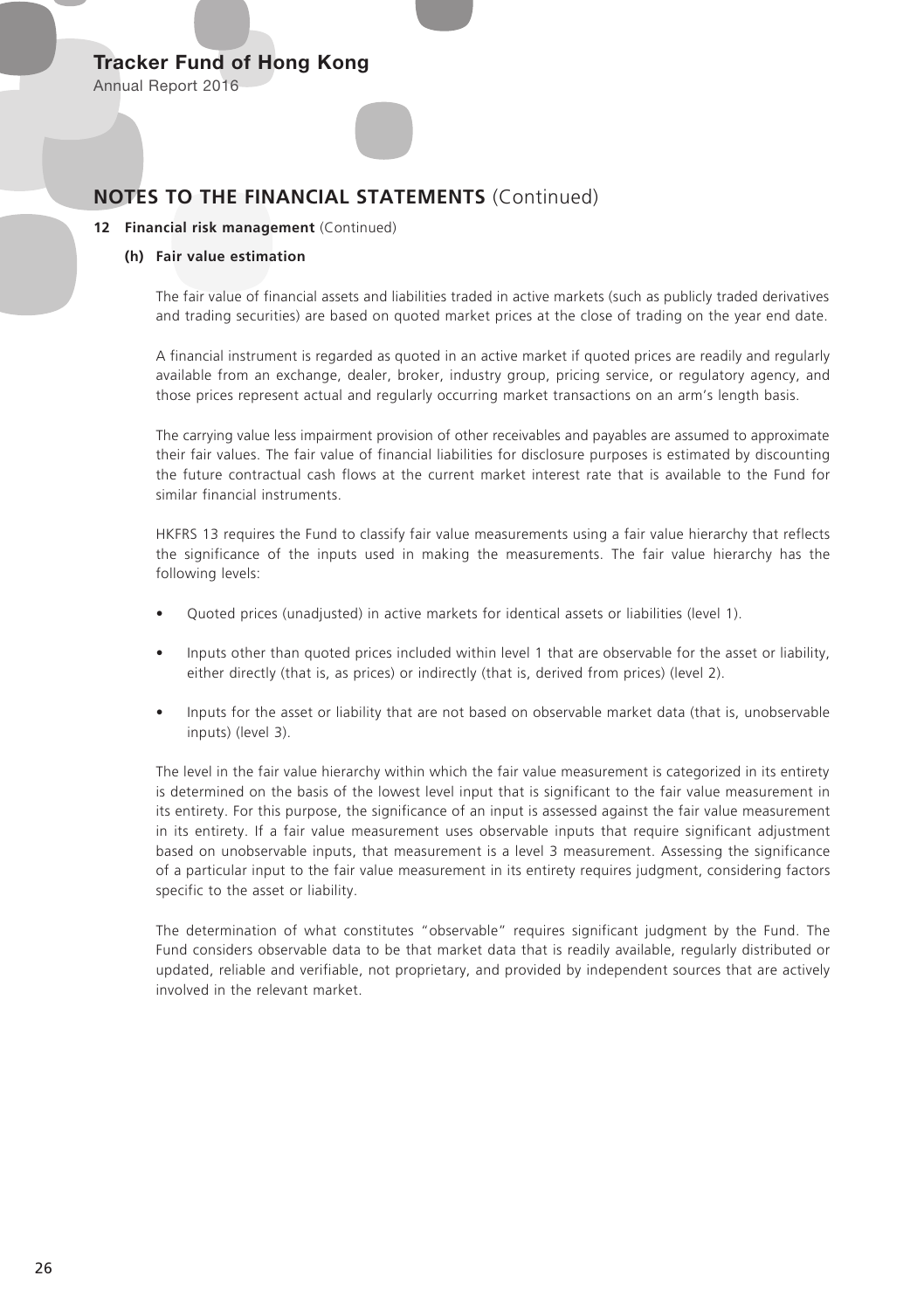Annual Report 2016

### **NOTES TO THE FINANCIAL STATEMENTS** (Continued)

#### **12 Financial risk management** (Continued)

#### **(h) Fair value estimation**

The fair value of financial assets and liabilities traded in active markets (such as publicly traded derivatives and trading securities) are based on quoted market prices at the close of trading on the year end date.

A financial instrument is regarded as quoted in an active market if quoted prices are readily and regularly available from an exchange, dealer, broker, industry group, pricing service, or regulatory agency, and those prices represent actual and regularly occurring market transactions on an arm's length basis.

The carrying value less impairment provision of other receivables and payables are assumed to approximate their fair values. The fair value of financial liabilities for disclosure purposes is estimated by discounting the future contractual cash flows at the current market interest rate that is available to the Fund for similar financial instruments.

HKFRS 13 requires the Fund to classify fair value measurements using a fair value hierarchy that reflects the significance of the inputs used in making the measurements. The fair value hierarchy has the following levels:

- Quoted prices (unadjusted) in active markets for identical assets or liabilities (level 1).
- Inputs other than quoted prices included within level 1 that are observable for the asset or liability, either directly (that is, as prices) or indirectly (that is, derived from prices) (level 2).
- Inputs for the asset or liability that are not based on observable market data (that is, unobservable inputs) (level 3).

The level in the fair value hierarchy within which the fair value measurement is categorized in its entirety is determined on the basis of the lowest level input that is significant to the fair value measurement in its entirety. For this purpose, the significance of an input is assessed against the fair value measurement in its entirety. If a fair value measurement uses observable inputs that require significant adjustment based on unobservable inputs, that measurement is a level 3 measurement. Assessing the significance of a particular input to the fair value measurement in its entirety requires judgment, considering factors specific to the asset or liability.

The determination of what constitutes "observable" requires significant judgment by the Fund. The Fund considers observable data to be that market data that is readily available, regularly distributed or updated, reliable and verifiable, not proprietary, and provided by independent sources that are actively involved in the relevant market.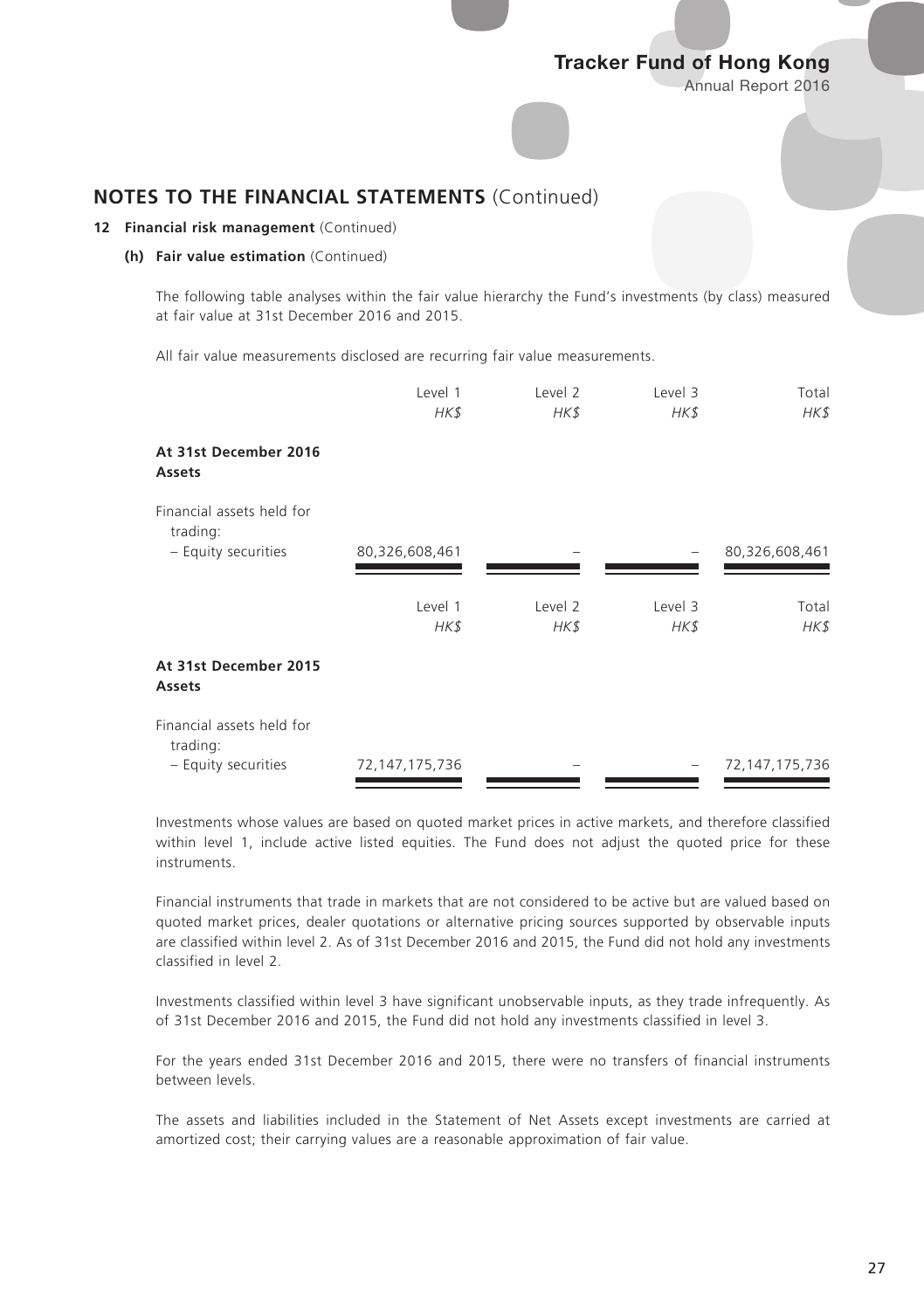Annual Report 2016

### **NOTES TO THE FINANCIAL STATEMENTS** (Continued)

#### **12 Financial risk management** (Continued)

#### **(h) Fair value estimation** (Continued)

The following table analyses within the fair value hierarchy the Fund's investments (by class) measured at fair value at 31st December 2016 and 2015.

All fair value measurements disclosed are recurring fair value measurements.

|                                       | Level 1<br>HK\$ | Level 2<br>HK\$ | Level 3<br>HK\$ | Total<br>HK\$     |
|---------------------------------------|-----------------|-----------------|-----------------|-------------------|
| At 31st December 2016<br>Assets       |                 |                 |                 |                   |
| Financial assets held for<br>trading: |                 |                 |                 |                   |
| - Equity securities                   | 80,326,608,461  |                 |                 | 80,326,608,461    |
|                                       | Level 1<br>HK\$ | Level 2<br>HK\$ | Level 3<br>HK\$ | Total<br>HK\$     |
| At 31st December 2015<br>Assets       |                 |                 |                 |                   |
| Financial assets held for<br>trading: |                 |                 |                 |                   |
| - Equity securities                   | 72,147,175,736  |                 |                 | 72, 147, 175, 736 |

Investments whose values are based on quoted market prices in active markets, and therefore classified within level 1, include active listed equities. The Fund does not adjust the quoted price for these instruments.

Financial instruments that trade in markets that are not considered to be active but are valued based on quoted market prices, dealer quotations or alternative pricing sources supported by observable inputs are classified within level 2. As of 31st December 2016 and 2015, the Fund did not hold any investments classified in level 2.

Investments classified within level 3 have significant unobservable inputs, as they trade infrequently. As of 31st December 2016 and 2015, the Fund did not hold any investments classified in level 3.

For the years ended 31st December 2016 and 2015, there were no transfers of financial instruments between levels.

The assets and liabilities included in the Statement of Net Assets except investments are carried at amortized cost; their carrying values are a reasonable approximation of fair value.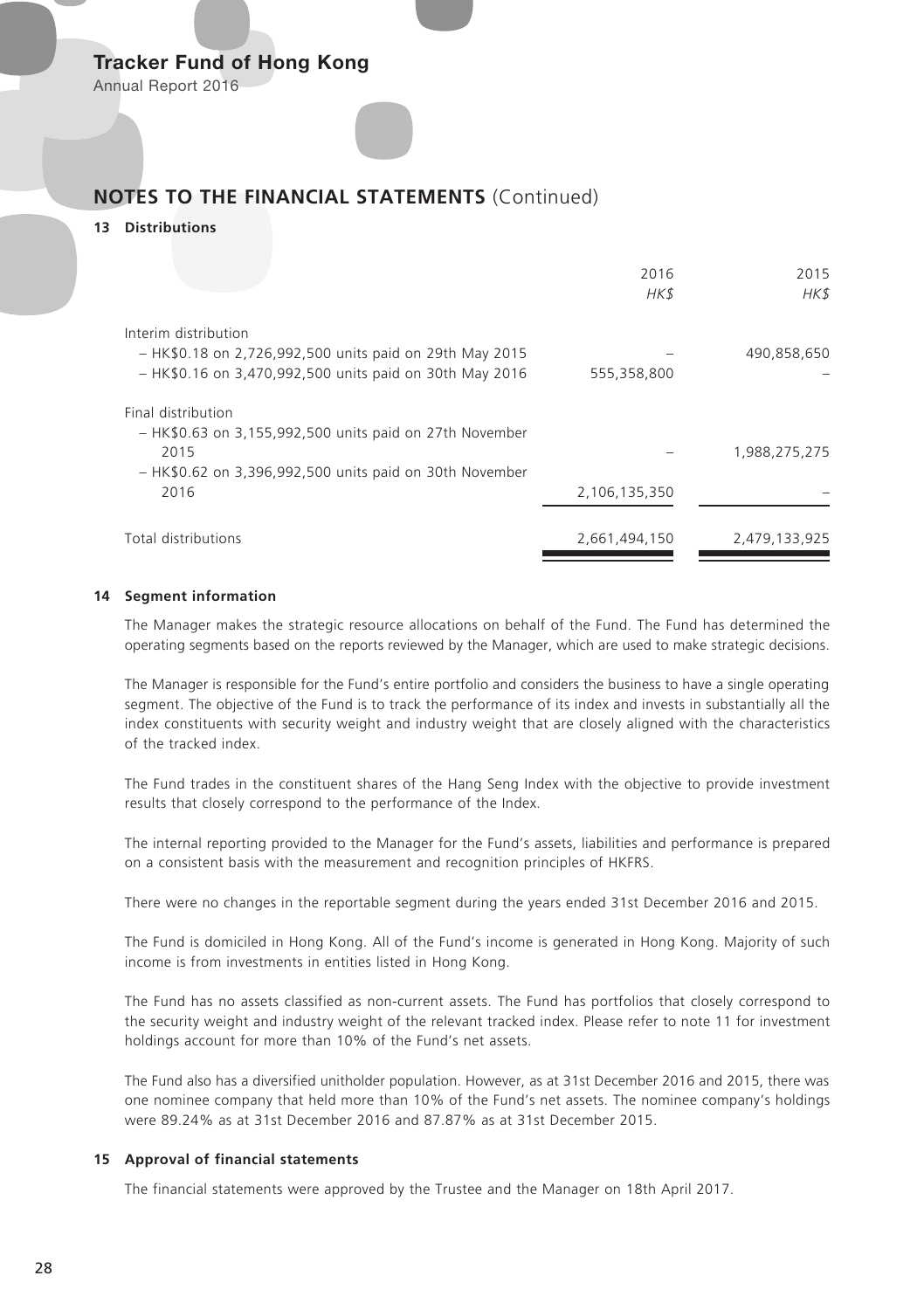Annual Report 2016

### **NOTES TO THE FINANCIAL STATEMENTS** (Continued)

#### **13 Distributions**

|                                                                                                                                                              | 2016<br>HK\$  | 2015<br>HK\$  |
|--------------------------------------------------------------------------------------------------------------------------------------------------------------|---------------|---------------|
| Interim distribution<br>- HK\$0.18 on 2,726,992,500 units paid on 29th May 2015<br>- HK\$0.16 on 3,470,992,500 units paid on 30th May 2016                   | 555,358,800   | 490,858,650   |
| Final distribution<br>$-$ HK\$0.63 on 3,155,992,500 units paid on 27th November<br>2015<br>$-$ HK\$0.62 on 3,396,992,500 units paid on 30th November<br>2016 | 2,106,135,350 | 1,988,275,275 |
| Total distributions                                                                                                                                          | 2,661,494,150 | 2,479,133,925 |

#### **14 Segment information**

The Manager makes the strategic resource allocations on behalf of the Fund. The Fund has determined the operating segments based on the reports reviewed by the Manager, which are used to make strategic decisions.

The Manager is responsible for the Fund's entire portfolio and considers the business to have a single operating segment. The objective of the Fund is to track the performance of its index and invests in substantially all the index constituents with security weight and industry weight that are closely aligned with the characteristics of the tracked index.

The Fund trades in the constituent shares of the Hang Seng Index with the objective to provide investment results that closely correspond to the performance of the Index.

The internal reporting provided to the Manager for the Fund's assets, liabilities and performance is prepared on a consistent basis with the measurement and recognition principles of HKFRS.

There were no changes in the reportable segment during the years ended 31st December 2016 and 2015.

The Fund is domiciled in Hong Kong. All of the Fund's income is generated in Hong Kong. Majority of such income is from investments in entities listed in Hong Kong.

The Fund has no assets classified as non-current assets. The Fund has portfolios that closely correspond to the security weight and industry weight of the relevant tracked index. Please refer to note 11 for investment holdings account for more than 10% of the Fund's net assets.

The Fund also has a diversified unitholder population. However, as at 31st December 2016 and 2015, there was one nominee company that held more than 10% of the Fund's net assets. The nominee company's holdings were 89.24% as at 31st December 2016 and 87.87% as at 31st December 2015.

#### **15 Approval of financial statements**

The financial statements were approved by the Trustee and the Manager on 18th April 2017.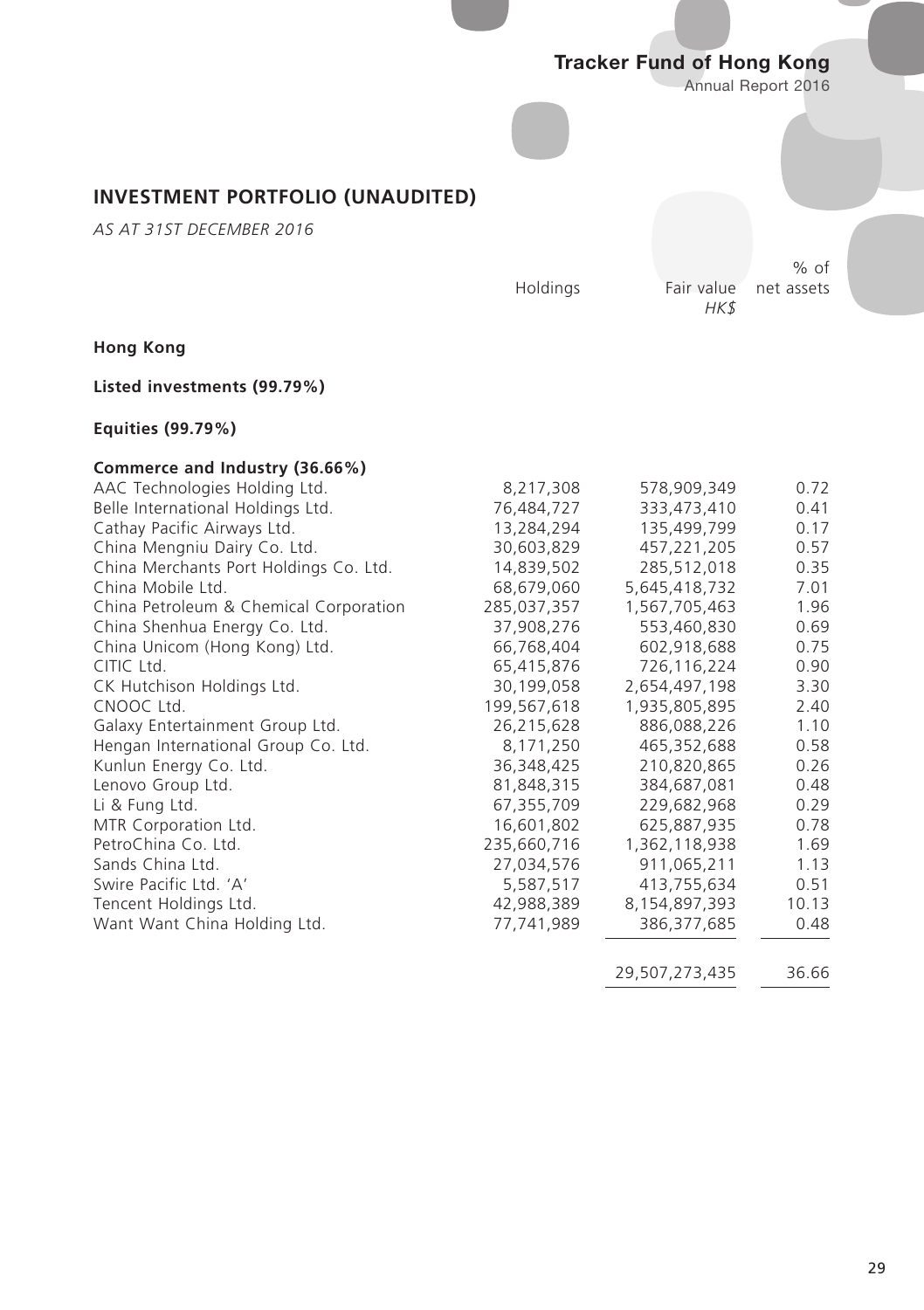Annual Report 2016

### **INVESTMENT PORTFOLIO (UNAUDITED)**

*AS AT 31ST DECEMBER 2016*

Holdings Fair value

*HK\$*

% of net assets

**Hong Kong**

**Listed investments (99.79%)**

#### **Equities (99.79%)**

#### **Commerce and Industry (36.66%)** AAC Technologies Holding Ltd. <br>Belle International Holdings Ltd. <br>76.484.727 333.473.410 0.41 Belle International Holdings Ltd. <br>
Cathav Pacific Airways Ltd. 13.284.294 135.499.799 0.17 Cathay Pacific Airways Ltd. 13,284,294 135,499,799 0.17<br>China Mengniu Dairy Co. Ltd. 13,0003.829 457.221.205 0.57 China Mengniu Dairy Co. Ltd. 30,603,829 457,221,205 0.57 China Merchants Port Holdings Co. Ltd. <br>
14,839,502 285,512,018 0.35<br>
68.679.060 5.645.418.732 7.01 China Mobile Ltd. 68,679,060 5,645,418,732 7.01<br>China Petroleum & Chemical Corporation 285 037 357 1 567 705 463 196 China Petroleum & Chemical Corporation  $285,037,357$  1,567,705,463 1.96<br>China Shenhua Energy Co. Ltd. 27.908.276 553.460.830 0.69 China Shenhua Energy Co. Ltd. 37,908,276 553,460,830 0.69 China Unicom (Hong Kong) Ltd. 66,768,404 602,918,688 0.75 65,415,876 726,116,224 0.90<br>30.199.058 2.654.497.198 3.30 CK Hutchison Holdings Ltd. 30,199,058 2,654,497,198 3.30<br>CNOOC Ltd. 30,199,567.618 1.935.805.895 2.40 PO 2.40<br>
COOC 25, 25, 26, 275, 276<br>
COOC 26, 276<br>
COOC 276<br>
COOC 276<br>
COOC 276<br>
COOC 276<br>
COOC 276<br>
COOC 276<br>
COOC 276<br>
COOC 276<br>
COOC 276<br>
COOC 276 Galaxy Entertainment Group Ltd. 26,215,628 886,088,226 1.10 Hengan International Group Co. Ltd. 8,171,250 465,352,688 0.58 Kunlun Energy Co. Ltd. 36,348,425 210,820,865 0.26 Lenovo Group Ltd. 81,848,315 384,687,081 0.48 Li & Fung Ltd. MTR Corporation Ltd. 16,601,802 625,887,935 0.78 PetroChina Co. Ltd. 235,660,716 1,362,118,938 1.69 Sands China Ltd. 27,034,576 911,065,211 1.13 Swire Pacific Ltd. 'A' 5,587,517 413,755,634 0.51 Tencent Holdings Ltd. 42,988,389 8,154,897,393 10.13 Want Want China Holding Ltd. 77,741,989 386,377,685 0.48

29,507,273,435 36.66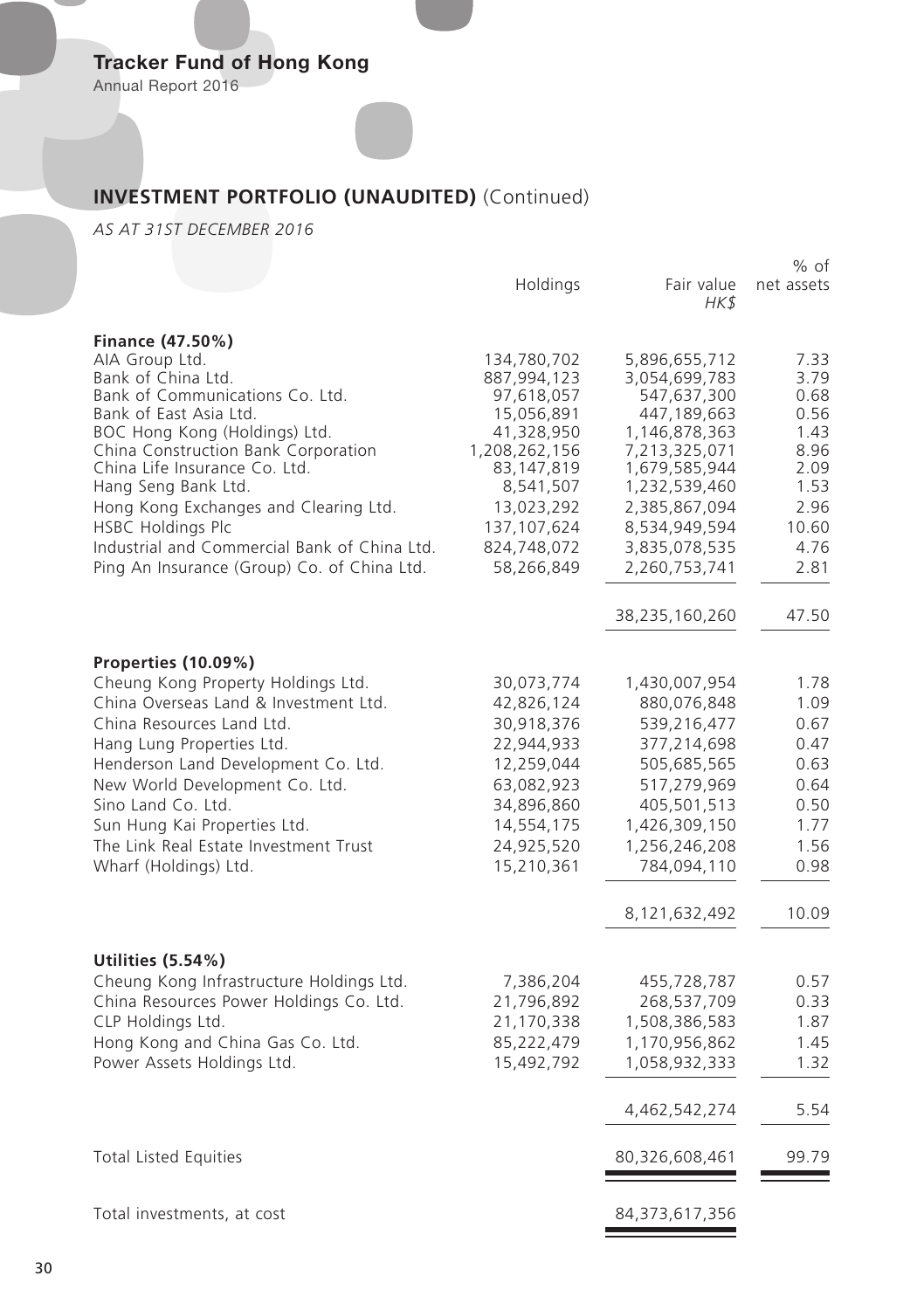Annual Report 2016

# **INVESTMENT PORTFOLIO (UNAUDITED)** (Continued)

*AS AT 31ST DECEMBER 2016*

|                                                                       |                             |                                | % of         |
|-----------------------------------------------------------------------|-----------------------------|--------------------------------|--------------|
|                                                                       | Holdings                    | Fair value<br>HK\$             | net assets   |
| Finance (47.50%)                                                      |                             |                                |              |
| AIA Group Ltd.                                                        | 134,780,702                 | 5,896,655,712                  | 7.33         |
| Bank of China Ltd.                                                    | 887,994,123                 | 3,054,699,783                  | 3.79         |
| Bank of Communications Co. Ltd.                                       | 97,618,057                  | 547,637,300                    | 0.68         |
| Bank of East Asia Ltd.                                                | 15,056,891                  | 447,189,663                    | 0.56         |
| BOC Hong Kong (Holdings) Ltd.                                         | 41,328,950                  | 1,146,878,363                  | 1.43         |
| China Construction Bank Corporation<br>China Life Insurance Co. Ltd.  | 1,208,262,156<br>83,147,819 | 7,213,325,071<br>1,679,585,944 | 8.96<br>2.09 |
| Hang Seng Bank Ltd.                                                   | 8,541,507                   | 1,232,539,460                  | 1.53         |
| Hong Kong Exchanges and Clearing Ltd.                                 | 13,023,292                  | 2,385,867,094                  | 2.96         |
| HSBC Holdings Plc                                                     | 137, 107, 624               | 8,534,949,594                  | 10.60        |
| Industrial and Commercial Bank of China Ltd.                          | 824,748,072                 | 3,835,078,535                  | 4.76         |
| Ping An Insurance (Group) Co. of China Ltd.                           | 58,266,849                  | 2,260,753,741                  | 2.81         |
|                                                                       |                             |                                |              |
|                                                                       |                             | 38,235,160,260                 | 47.50        |
|                                                                       |                             |                                |              |
| Properties (10.09%)<br>Cheung Kong Property Holdings Ltd.             |                             |                                | 1.78         |
| China Overseas Land & Investment Ltd.                                 | 30,073,774                  | 1,430,007,954<br>880,076,848   | 1.09         |
| China Resources Land Ltd.                                             | 42,826,124<br>30,918,376    | 539,216,477                    | 0.67         |
| Hang Lung Properties Ltd.                                             | 22,944,933                  | 377,214,698                    | 0.47         |
|                                                                       |                             |                                |              |
| Henderson Land Development Co. Ltd.<br>New World Development Co. Ltd. | 12,259,044                  | 505,685,565                    | 0.63<br>0.64 |
| Sino Land Co. Ltd.                                                    | 63,082,923                  | 517,279,969<br>405,501,513     | 0.50         |
|                                                                       | 34,896,860                  |                                | 1.77         |
| Sun Hung Kai Properties Ltd.<br>The Link Real Estate Investment Trust | 14,554,175                  | 1,426,309,150<br>1,256,246,208 | 1.56         |
|                                                                       | 24,925,520                  |                                | 0.98         |
| Wharf (Holdings) Ltd.                                                 | 15,210,361                  | 784,094,110                    |              |
|                                                                       |                             | 8,121,632,492                  | 10.09        |
|                                                                       |                             |                                |              |
| Utilities (5.54%)<br>Cheung Kong Infrastructure Holdings Ltd.         | 7,386,204                   | 455,728,787                    | 0.57         |
| China Resources Power Holdings Co. Ltd.                               | 21,796,892                  | 268,537,709                    | 0.33         |
| CLP Holdings Ltd.                                                     | 21,170,338                  | 1,508,386,583                  | 1.87         |
| Hong Kong and China Gas Co. Ltd.                                      | 85,222,479                  | 1,170,956,862                  | 1.45         |
| Power Assets Holdings Ltd.                                            | 15,492,792                  | 1,058,932,333                  | 1.32         |
|                                                                       |                             |                                |              |
|                                                                       |                             | 4,462,542,274                  | 5.54         |
| <b>Total Listed Equities</b>                                          |                             | 80,326,608,461                 | 99.79        |
|                                                                       |                             |                                |              |
| Total investments, at cost                                            |                             | 84,373,617,356                 |              |
|                                                                       |                             |                                |              |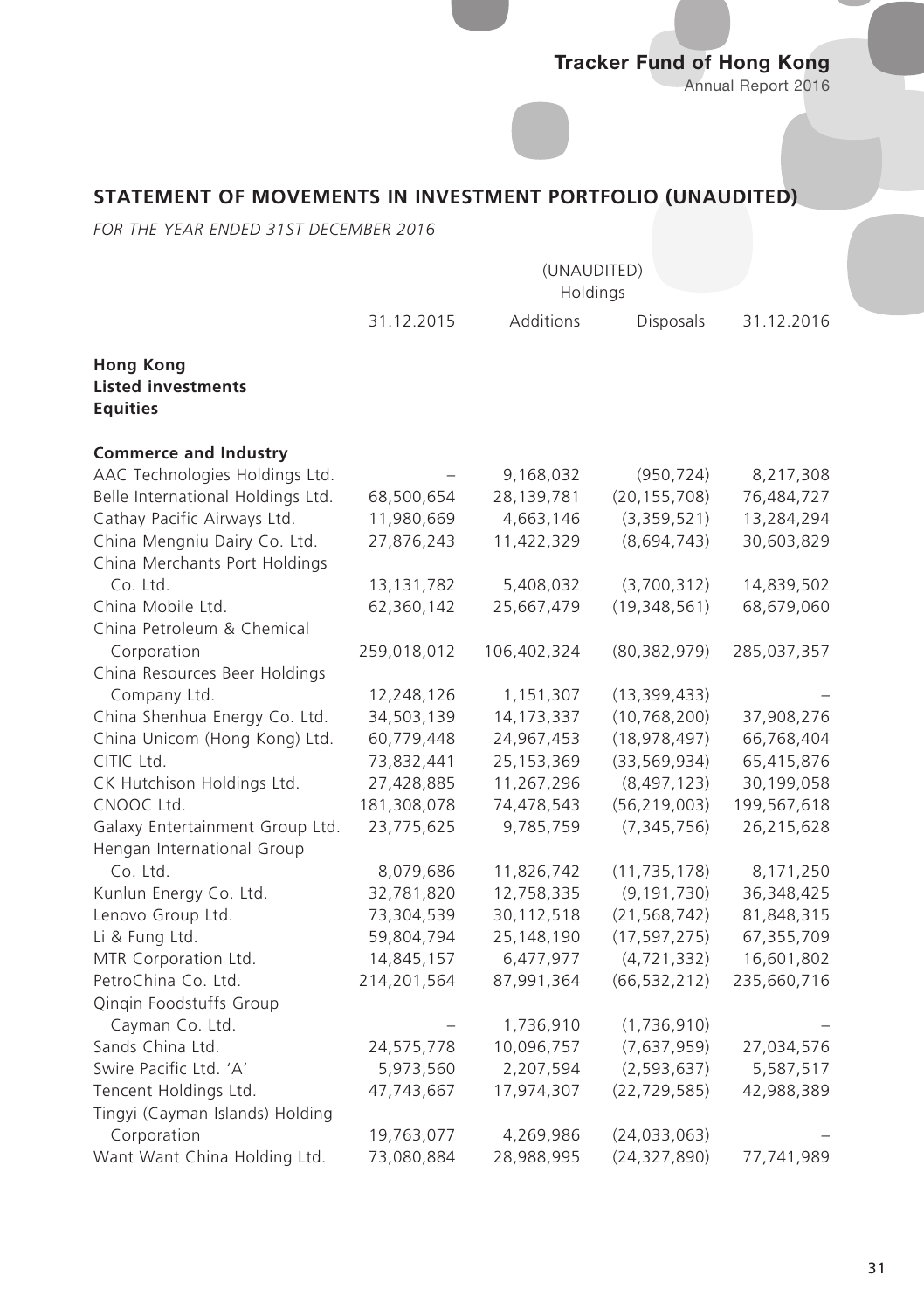Annual Report 2016

# **STATEMENT OF MOVEMENTS IN INVESTMENT PORTFOLIO (UNAUDITED)**

*FOR THE YEAR ENDED 31ST DECEMBER 2016*

|                                                                  | (UNAUDITED)<br>Holdings |              |                |             |
|------------------------------------------------------------------|-------------------------|--------------|----------------|-------------|
|                                                                  | 31.12.2015              | Additions    | Disposals      | 31.12.2016  |
| <b>Hong Kong</b><br><b>Listed investments</b><br><b>Equities</b> |                         |              |                |             |
| <b>Commerce and Industry</b>                                     |                         |              |                |             |
| AAC Technologies Holdings Ltd.                                   |                         | 9,168,032    | (950, 724)     | 8,217,308   |
| Belle International Holdings Ltd.                                | 68,500,654              | 28,139,781   | (20, 155, 708) | 76,484,727  |
| Cathay Pacific Airways Ltd.                                      | 11,980,669              | 4,663,146    | (3,359,521)    | 13,284,294  |
| China Mengniu Dairy Co. Ltd.                                     | 27,876,243              | 11,422,329   | (8,694,743)    | 30,603,829  |
| China Merchants Port Holdings                                    |                         |              |                |             |
| Co. Ltd.                                                         | 13,131,782              | 5,408,032    | (3,700,312)    | 14,839,502  |
| China Mobile Ltd.                                                | 62,360,142              | 25,667,479   | (19,348,561)   | 68,679,060  |
| China Petroleum & Chemical                                       |                         |              |                |             |
| Corporation                                                      | 259,018,012             | 106,402,324  | (80, 382, 979) | 285,037,357 |
| China Resources Beer Holdings                                    |                         |              |                |             |
| Company Ltd.                                                     | 12,248,126              | 1,151,307    | (13, 399, 433) |             |
| China Shenhua Energy Co. Ltd.                                    | 34,503,139              | 14,173,337   | (10, 768, 200) | 37,908,276  |
| China Unicom (Hong Kong) Ltd.                                    | 60,779,448              | 24,967,453   | (18, 978, 497) | 66,768,404  |
| CITIC Ltd.                                                       | 73,832,441              | 25, 153, 369 | (33, 569, 934) | 65,415,876  |
| CK Hutchison Holdings Ltd.                                       | 27,428,885              | 11,267,296   | (8,497,123)    | 30,199,058  |
| CNOOC Ltd.                                                       | 181,308,078             | 74,478,543   | (56, 219, 003) | 199,567,618 |
| Galaxy Entertainment Group Ltd.                                  | 23,775,625              | 9,785,759    | (7, 345, 756)  | 26,215,628  |
| Hengan International Group                                       |                         |              |                |             |
| Co. Ltd.                                                         | 8,079,686               | 11,826,742   | (11, 735, 178) | 8,171,250   |
| Kunlun Energy Co. Ltd.                                           | 32,781,820              | 12,758,335   | (9, 191, 730)  | 36,348,425  |
| Lenovo Group Ltd.                                                | 73,304,539              | 30,112,518   | (21, 568, 742) | 81,848,315  |
| Li & Fung Ltd.                                                   | 59,804,794              | 25,148,190   | (17, 597, 275) | 67,355,709  |
| MTR Corporation Ltd.                                             | 14,845,157              | 6,477,977    | (4, 721, 332)  | 16,601,802  |
| PetroChina Co. Ltd.                                              | 214,201,564             | 87,991,364   | (66, 532, 212) | 235,660,716 |
| Qingin Foodstuffs Group                                          |                         |              |                |             |
| Cayman Co. Ltd.                                                  |                         | 1,736,910    | (1,736,910)    |             |
| Sands China Ltd.                                                 | 24,575,778              | 10,096,757   | (7,637,959)    | 27,034,576  |
| Swire Pacific Ltd. 'A'                                           | 5,973,560               | 2,207,594    | (2,593,637)    | 5,587,517   |
| Tencent Holdings Ltd.                                            | 47,743,667              | 17,974,307   | (22, 729, 585) | 42,988,389  |
| Tingyi (Cayman Islands) Holding                                  |                         |              |                |             |
| Corporation                                                      | 19,763,077              | 4,269,986    | (24, 033, 063) |             |
| Want Want China Holding Ltd.                                     | 73,080,884              | 28,988,995   | (24, 327, 890) | 77,741,989  |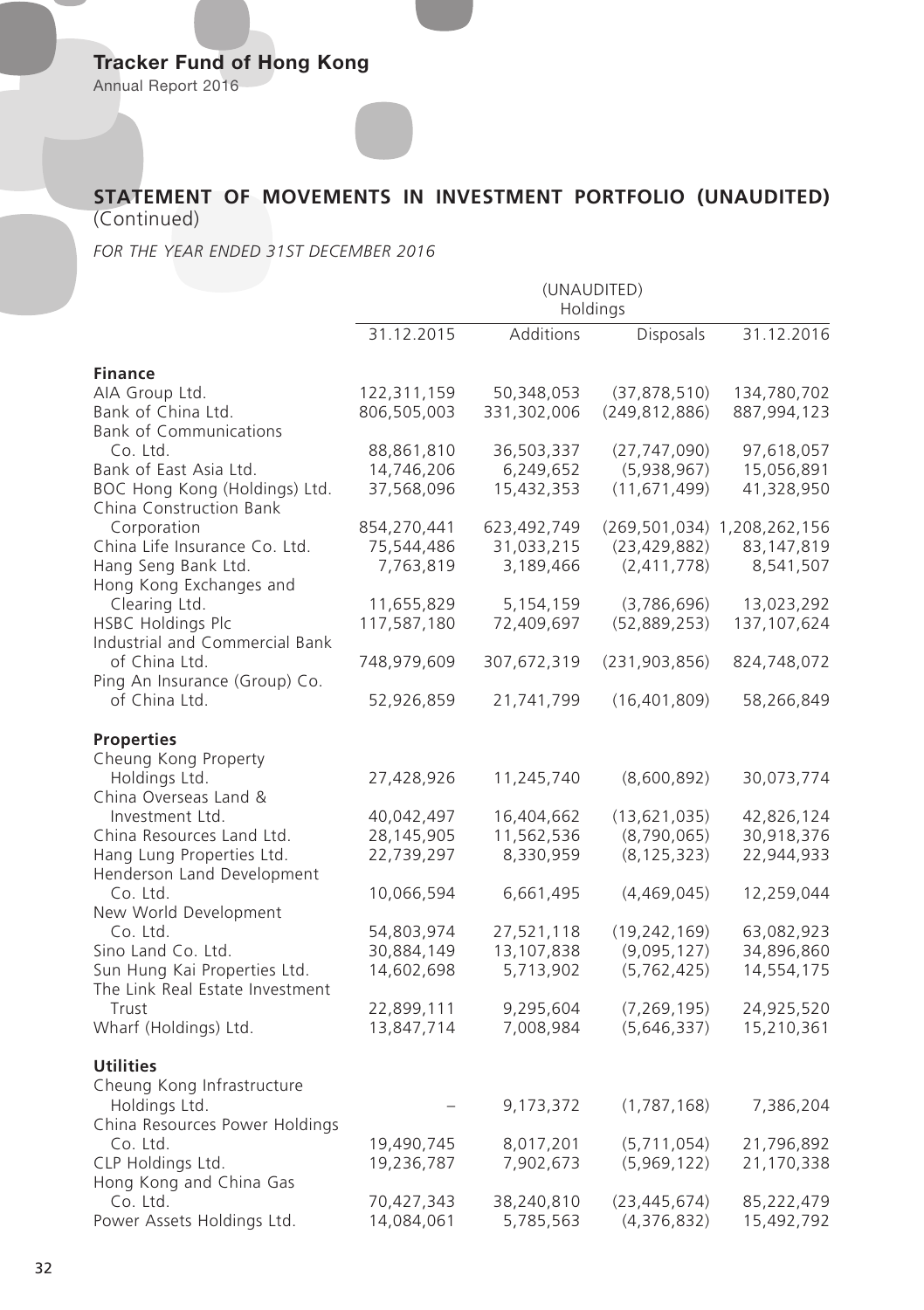Annual Report 2016

# **STATEMENT OF MOVEMENTS IN INVESTMENT PORTFOLIO (UNAUDITED)**

(Continued)

*FOR THE YEAR ENDED 31ST DECEMBER 2016*

|                                                            | (UNAUDITED)<br>Holdings  |                         |                               |                             |
|------------------------------------------------------------|--------------------------|-------------------------|-------------------------------|-----------------------------|
|                                                            | 31.12.2015               | Additions               | <b>Disposals</b>              | 31.12.2016                  |
| <b>Finance</b>                                             |                          |                         |                               |                             |
| AIA Group Ltd.                                             | 122,311,159              | 50,348,053              | (37, 878, 510)                | 134,780,702                 |
| Bank of China Ltd.                                         | 806,505,003              | 331,302,006             | (249, 812, 886)               | 887,994,123                 |
| <b>Bank of Communications</b>                              |                          |                         |                               |                             |
| Co. Ltd.<br>Bank of East Asia Ltd.                         | 88,861,810               | 36,503,337              | (27, 747, 090)                | 97,618,057                  |
| BOC Hong Kong (Holdings) Ltd.                              | 14,746,206<br>37,568,096 | 6,249,652<br>15,432,353 | (5,938,967)<br>(11, 671, 499) | 15,056,891<br>41,328,950    |
| China Construction Bank                                    |                          |                         |                               |                             |
| Corporation                                                | 854,270,441              | 623,492,749             |                               | (269,501,034) 1,208,262,156 |
| China Life Insurance Co. Ltd.                              | 75,544,486               | 31,033,215              | (23, 429, 882)                | 83,147,819                  |
| Hang Seng Bank Ltd.<br>Hong Kong Exchanges and             | 7,763,819                | 3,189,466               | (2,411,778)                   | 8,541,507                   |
| Clearing Ltd.                                              | 11,655,829               | 5,154,159               | (3,786,696)                   | 13,023,292                  |
| <b>HSBC Holdings Plc</b><br>Industrial and Commercial Bank | 117,587,180              | 72,409,697              | (52,889,253)                  | 137, 107, 624               |
| of China Ltd.                                              | 748,979,609              | 307,672,319             | (231, 903, 856)               | 824,748,072                 |
| Ping An Insurance (Group) Co.<br>of China Ltd.             | 52,926,859               | 21,741,799              | (16, 401, 809)                | 58,266,849                  |
| <b>Properties</b>                                          |                          |                         |                               |                             |
| Cheung Kong Property                                       |                          |                         |                               |                             |
| Holdings Ltd.                                              | 27,428,926               | 11,245,740              | (8,600,892)                   | 30,073,774                  |
| China Overseas Land &                                      |                          |                         |                               |                             |
| Investment Ltd.                                            | 40,042,497               | 16,404,662              | (13,621,035)                  | 42,826,124                  |
| China Resources Land Ltd.                                  | 28,145,905               | 11,562,536              | (8,790,065)                   | 30,918,376                  |
| Hang Lung Properties Ltd.                                  | 22,739,297               | 8,330,959               | (8, 125, 323)                 | 22,944,933                  |
| Henderson Land Development                                 |                          |                         |                               |                             |
| Co. Ltd.                                                   | 10,066,594               | 6,661,495               | (4,469,045)                   | 12,259,044                  |
| New World Development                                      |                          |                         |                               |                             |
| Co. Ltd.                                                   | 54,803,974               | 27,521,118              | (19, 242, 169)                | 63,082,923                  |
| Sino Land Co. Ltd.<br>Sun Hung Kai Properties Ltd.         | 30,884,149               | 13,107,838<br>5,713,902 | (9,095,127)<br>(5,762,425)    | 34,896,860<br>14,554,175    |
| The Link Real Estate Investment                            | 14,602,698               |                         |                               |                             |
| Trust                                                      | 22,899,111               | 9,295,604               | (7, 269, 195)                 | 24,925,520                  |
| Wharf (Holdings) Ltd.                                      | 13,847,714               | 7,008,984               | (5,646,337)                   | 15,210,361                  |
| <b>Utilities</b>                                           |                          |                         |                               |                             |
| Cheung Kong Infrastructure                                 |                          |                         |                               |                             |
| Holdings Ltd.                                              |                          | 9,173,372               | (1, 787, 168)                 | 7,386,204                   |
| China Resources Power Holdings                             |                          |                         |                               |                             |
| Co. Ltd.                                                   | 19,490,745               | 8,017,201               | (5,711,054)                   | 21,796,892                  |
| CLP Holdings Ltd.                                          | 19,236,787               | 7,902,673               | (5,969,122)                   | 21,170,338                  |
| Hong Kong and China Gas<br>Co. Ltd.                        | 70,427,343               | 38,240,810              | (23, 445, 674)                | 85,222,479                  |
| Power Assets Holdings Ltd.                                 | 14,084,061               | 5,785,563               | (4,376,832)                   | 15,492,792                  |
|                                                            |                          |                         |                               |                             |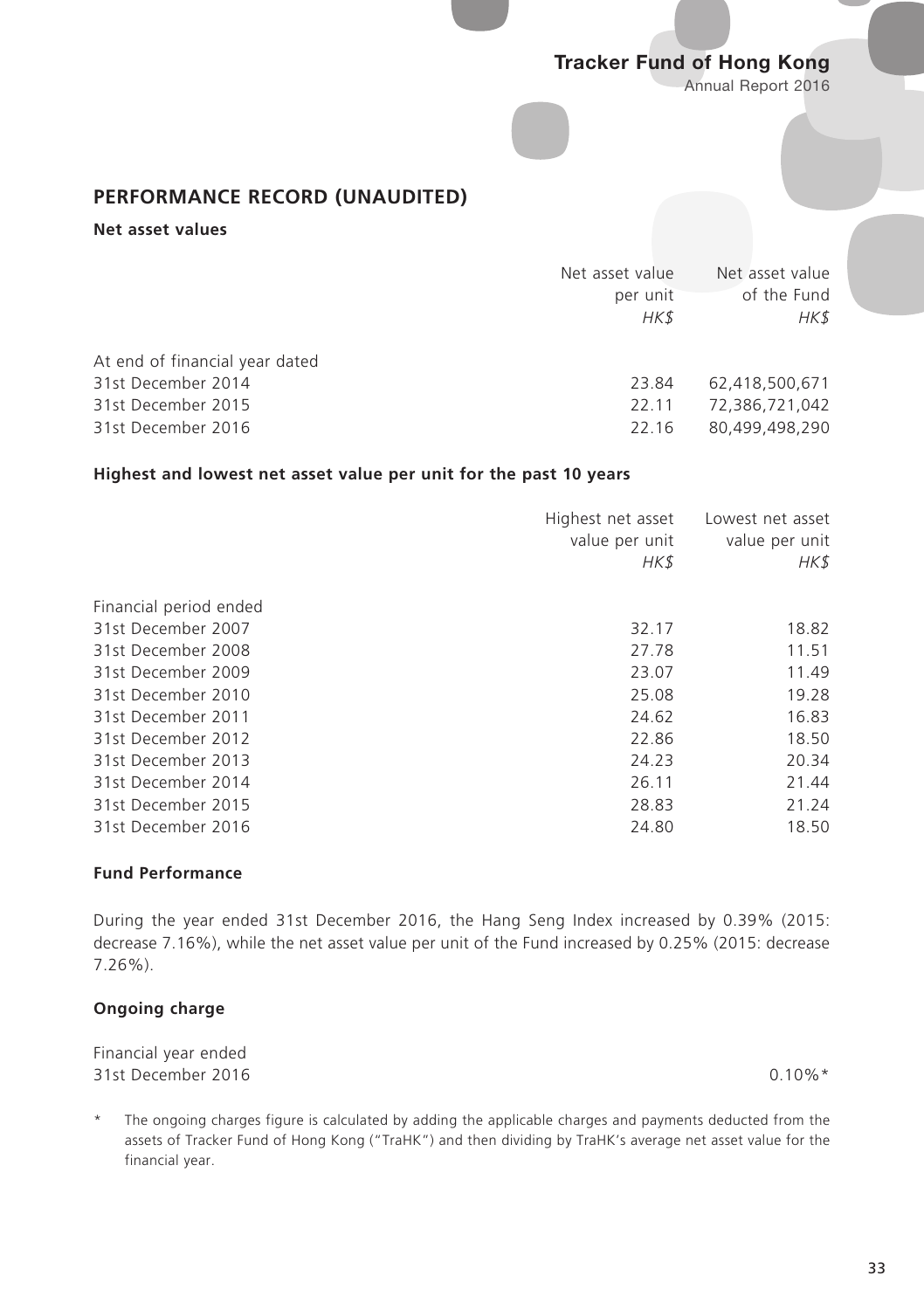Annual Report 2016

### **PERFORMANCE RECORD (UNAUDITED)**

### **Net asset values**

|                                | Net asset value<br>per unit<br>HK\$ | Net asset value<br>of the Fund<br>HK\$ |
|--------------------------------|-------------------------------------|----------------------------------------|
| At end of financial year dated |                                     |                                        |
| 31st December 2014             | 23.84                               | 62,418,500,671                         |
| 31st December 2015             | 22.11                               | 72.386.721.042                         |
| 31st December 2016             | 22.16                               | 80.499.498.290                         |

#### **Highest and lowest net asset value per unit for the past 10 years**

|                        | Highest net asset<br>value per unit<br>HK\$ | Lowest net asset<br>value per unit<br>HK\$ |
|------------------------|---------------------------------------------|--------------------------------------------|
| Financial period ended |                                             |                                            |
| 31st December 2007     | 32.17                                       | 18.82                                      |
| 31st December 2008     | 27.78                                       | 11.51                                      |
| 31st December 2009     | 23.07                                       | 11.49                                      |
| 31st December 2010     | 25.08                                       | 19.28                                      |
| 31st December 2011     | 24.62                                       | 16.83                                      |
| 31st December 2012     | 22.86                                       | 18.50                                      |
| 31st December 2013     | 24.23                                       | 20.34                                      |
| 31st December 2014     | 26.11                                       | 21.44                                      |
| 31st December 2015     | 28.83                                       | 21.24                                      |
| 31st December 2016     | 24.80                                       | 18.50                                      |

### **Fund Performance**

During the year ended 31st December 2016, the Hang Seng Index increased by 0.39% (2015: decrease 7.16%), while the net asset value per unit of the Fund increased by 0.25% (2015: decrease 7.26%).

### **Ongoing charge**

Financial year ended 31st December 2016 0.10%\*

\* The ongoing charges figure is calculated by adding the applicable charges and payments deducted from the assets of Tracker Fund of Hong Kong ("TraHK") and then dividing by TraHK's average net asset value for the financial year.